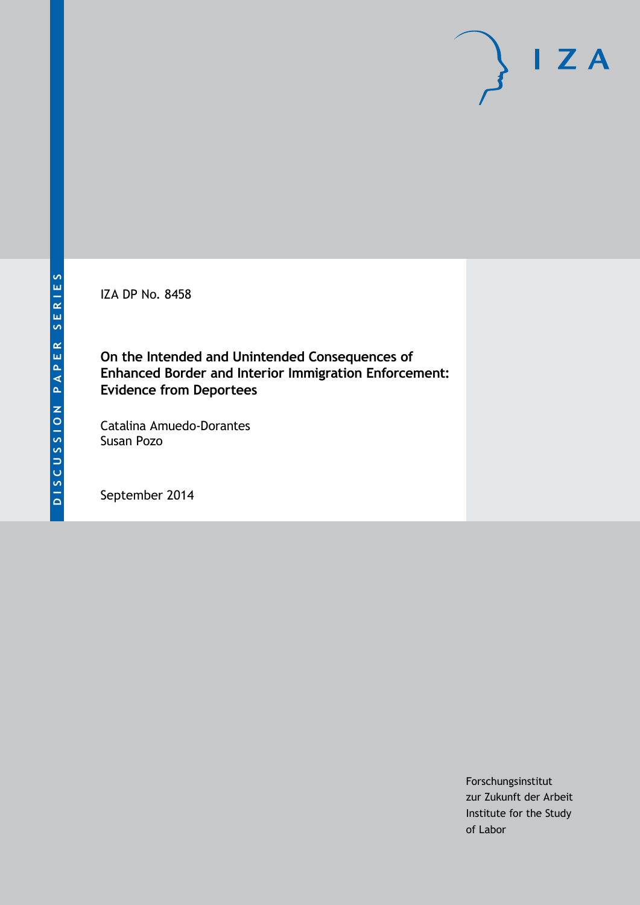IZA DP No. 8458

**On the Intended and Unintended Consequences of Enhanced Border and Interior Immigration Enforcement: Evidence from Deportees**

Catalina Amuedo-Dorantes Susan Pozo

September 2014

Forschungsinstitut zur Zukunft der Arbeit Institute for the Study of Labor

 $I Z A$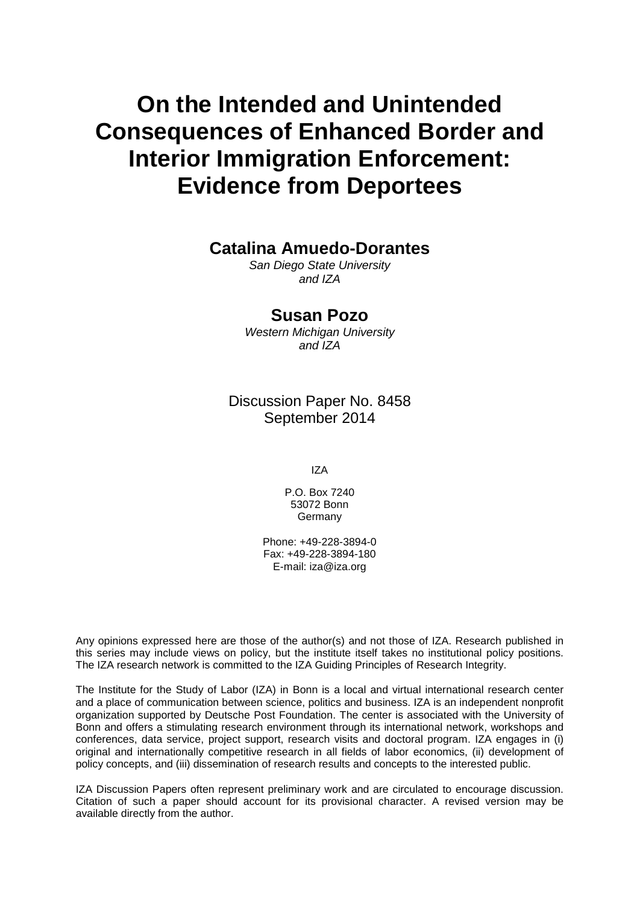# **On the Intended and Unintended Consequences of Enhanced Border and Interior Immigration Enforcement: Evidence from Deportees**

# **Catalina Amuedo-Dorantes**

*San Diego State University and IZA*

# **Susan Pozo**

*Western Michigan University and IZA*

Discussion Paper No. 8458 September 2014

IZA

P.O. Box 7240 53072 Bonn Germany

Phone: +49-228-3894-0 Fax: +49-228-3894-180 E-mail: [iza@iza.org](mailto:iza@iza.org)

Any opinions expressed here are those of the author(s) and not those of IZA. Research published in this series may include views on policy, but the institute itself takes no institutional policy positions. The IZA research network is committed to the IZA Guiding Principles of Research Integrity.

The Institute for the Study of Labor (IZA) in Bonn is a local and virtual international research center and a place of communication between science, politics and business. IZA is an independent nonprofit organization supported by Deutsche Post Foundation. The center is associated with the University of Bonn and offers a stimulating research environment through its international network, workshops and conferences, data service, project support, research visits and doctoral program. IZA engages in (i) original and internationally competitive research in all fields of labor economics, (ii) development of policy concepts, and (iii) dissemination of research results and concepts to the interested public.

<span id="page-1-0"></span>IZA Discussion Papers often represent preliminary work and are circulated to encourage discussion. Citation of such a paper should account for its provisional character. A revised version may be available directly from the author.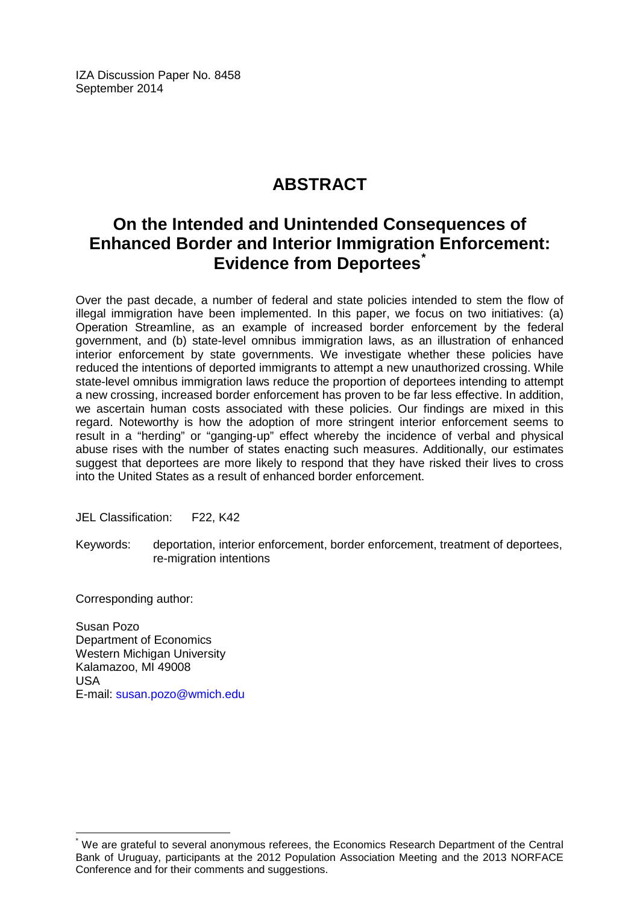IZA Discussion Paper No. 8458 September 2014

# **ABSTRACT**

# **On the Intended and Unintended Consequences of Enhanced Border and Interior Immigration Enforcement: Evidence from Deportees[\\*](#page-1-0)**

Over the past decade, a number of federal and state policies intended to stem the flow of illegal immigration have been implemented. In this paper, we focus on two initiatives: (a) Operation Streamline, as an example of increased border enforcement by the federal government, and (b) state-level omnibus immigration laws, as an illustration of enhanced interior enforcement by state governments. We investigate whether these policies have reduced the intentions of deported immigrants to attempt a new unauthorized crossing. While state-level omnibus immigration laws reduce the proportion of deportees intending to attempt a new crossing, increased border enforcement has proven to be far less effective. In addition, we ascertain human costs associated with these policies. Our findings are mixed in this regard. Noteworthy is how the adoption of more stringent interior enforcement seems to result in a "herding" or "ganging-up" effect whereby the incidence of verbal and physical abuse rises with the number of states enacting such measures. Additionally, our estimates suggest that deportees are more likely to respond that they have risked their lives to cross into the United States as a result of enhanced border enforcement.

JEL Classification: F22, K42

Keywords: deportation, interior enforcement, border enforcement, treatment of deportees, re-migration intentions

Corresponding author:

Susan Pozo Department of Economics Western Michigan University Kalamazoo, MI 49008 USA E-mail: [susan.pozo@wmich.edu](mailto:susan.pozo@wmich.edu)

We are grateful to several anonymous referees, the Economics Research Department of the Central Bank of Uruguay, participants at the 2012 Population Association Meeting and the 2013 NORFACE Conference and for their comments and suggestions.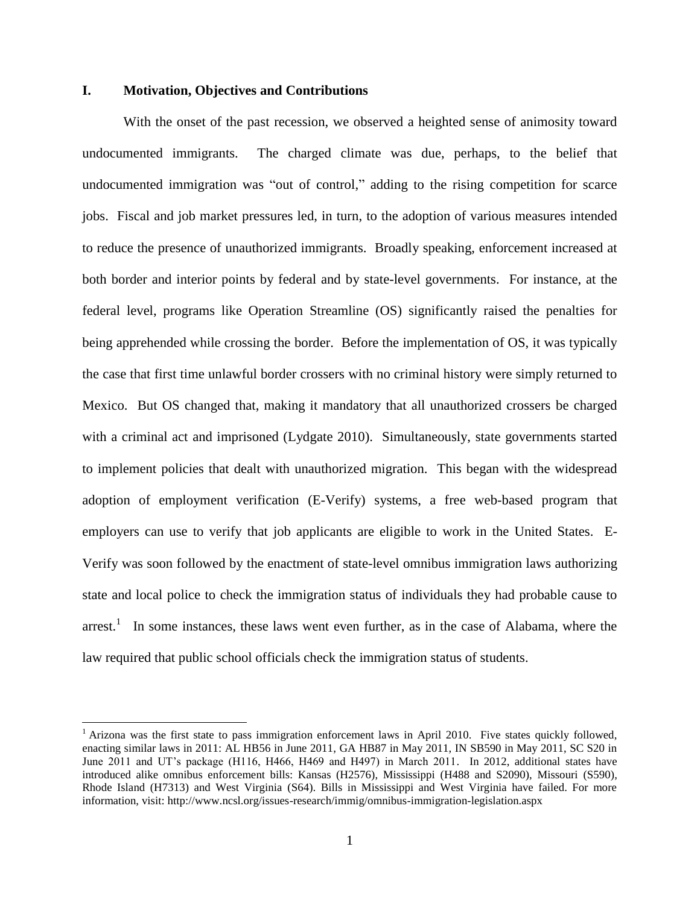# **I. Motivation, Objectives and Contributions**

 $\overline{\phantom{a}}$ 

With the onset of the past recession, we observed a heighted sense of animosity toward undocumented immigrants. The charged climate was due, perhaps, to the belief that undocumented immigration was "out of control," adding to the rising competition for scarce jobs. Fiscal and job market pressures led, in turn, to the adoption of various measures intended to reduce the presence of unauthorized immigrants. Broadly speaking, enforcement increased at both border and interior points by federal and by state-level governments. For instance, at the federal level, programs like Operation Streamline (OS) significantly raised the penalties for being apprehended while crossing the border. Before the implementation of OS, it was typically the case that first time unlawful border crossers with no criminal history were simply returned to Mexico. But OS changed that, making it mandatory that all unauthorized crossers be charged with a criminal act and imprisoned (Lydgate 2010). Simultaneously, state governments started to implement policies that dealt with unauthorized migration. This began with the widespread adoption of employment verification (E-Verify) systems, a free web-based program that employers can use to verify that job applicants are eligible to work in the United States. E-Verify was soon followed by the enactment of state-level omnibus immigration laws authorizing state and local police to check the immigration status of individuals they had probable cause to arrest.<sup>1</sup> In some instances, these laws went even further, as in the case of Alabama, where the law required that public school officials check the immigration status of students.

 $<sup>1</sup>$  Arizona was the first state to pass immigration enforcement laws in April 2010. Five states quickly followed,</sup> enacting similar laws in 2011: AL HB56 in June 2011, GA HB87 in May 2011, IN SB590 in May 2011, SC S20 in June 2011 and UT's package (H116, H466, H469 and H497) in March 2011. In 2012, additional states have introduced alike omnibus enforcement bills: Kansas (H2576), Mississippi (H488 and S2090), Missouri (S590), Rhode Island (H7313) and West Virginia (S64). Bills in Mississippi and West Virginia have failed. For more information, visit: http://www.ncsl.org/issues-research/immig/omnibus-immigration-legislation.aspx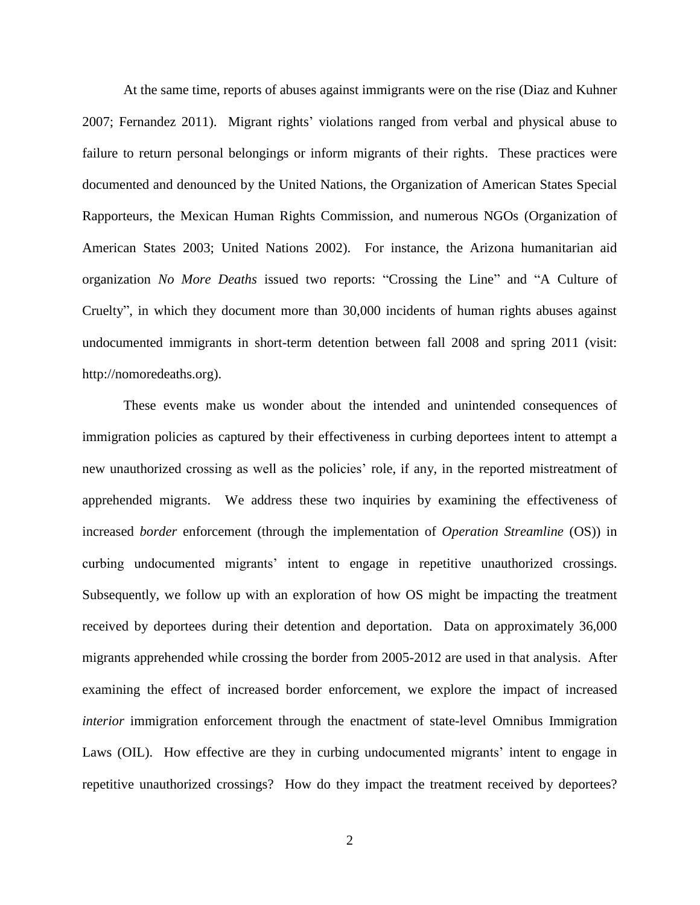At the same time, reports of abuses against immigrants were on the rise (Diaz and Kuhner 2007; Fernandez 2011). Migrant rights' violations ranged from verbal and physical abuse to failure to return personal belongings or inform migrants of their rights. These practices were documented and denounced by the United Nations, the Organization of American States Special Rapporteurs, the Mexican Human Rights Commission, and numerous NGOs (Organization of American States 2003; United Nations 2002). For instance, the Arizona humanitarian aid organization *No More Deaths* issued two reports: "Crossing the Line" and "A Culture of Cruelty", in which they document more than 30,000 incidents of human rights abuses against undocumented immigrants in short-term detention between fall 2008 and spring 2011 (visit: http://nomoredeaths.org).

These events make us wonder about the intended and unintended consequences of immigration policies as captured by their effectiveness in curbing deportees intent to attempt a new unauthorized crossing as well as the policies' role, if any, in the reported mistreatment of apprehended migrants. We address these two inquiries by examining the effectiveness of increased *border* enforcement (through the implementation of *Operation Streamline* (OS)) in curbing undocumented migrants' intent to engage in repetitive unauthorized crossings. Subsequently, we follow up with an exploration of how OS might be impacting the treatment received by deportees during their detention and deportation. Data on approximately 36,000 migrants apprehended while crossing the border from 2005-2012 are used in that analysis. After examining the effect of increased border enforcement, we explore the impact of increased *interior* immigration enforcement through the enactment of state-level Omnibus Immigration Laws (OIL). How effective are they in curbing undocumented migrants' intent to engage in repetitive unauthorized crossings? How do they impact the treatment received by deportees?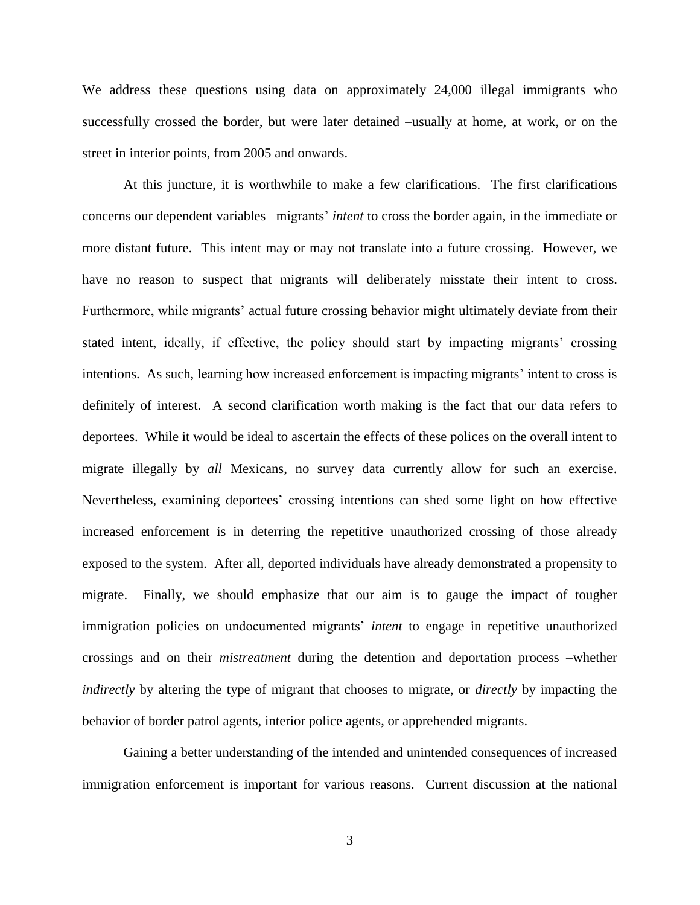We address these questions using data on approximately 24,000 illegal immigrants who successfully crossed the border, but were later detained –usually at home, at work, or on the street in interior points, from 2005 and onwards.

At this juncture, it is worthwhile to make a few clarifications. The first clarifications concerns our dependent variables –migrants' *intent* to cross the border again, in the immediate or more distant future. This intent may or may not translate into a future crossing. However, we have no reason to suspect that migrants will deliberately misstate their intent to cross. Furthermore, while migrants' actual future crossing behavior might ultimately deviate from their stated intent, ideally, if effective, the policy should start by impacting migrants' crossing intentions. As such, learning how increased enforcement is impacting migrants' intent to cross is definitely of interest. A second clarification worth making is the fact that our data refers to deportees. While it would be ideal to ascertain the effects of these polices on the overall intent to migrate illegally by *all* Mexicans, no survey data currently allow for such an exercise. Nevertheless, examining deportees' crossing intentions can shed some light on how effective increased enforcement is in deterring the repetitive unauthorized crossing of those already exposed to the system. After all, deported individuals have already demonstrated a propensity to migrate. Finally, we should emphasize that our aim is to gauge the impact of tougher immigration policies on undocumented migrants' *intent* to engage in repetitive unauthorized crossings and on their *mistreatment* during the detention and deportation process –whether *indirectly* by altering the type of migrant that chooses to migrate, or *directly* by impacting the behavior of border patrol agents, interior police agents, or apprehended migrants.

Gaining a better understanding of the intended and unintended consequences of increased immigration enforcement is important for various reasons. Current discussion at the national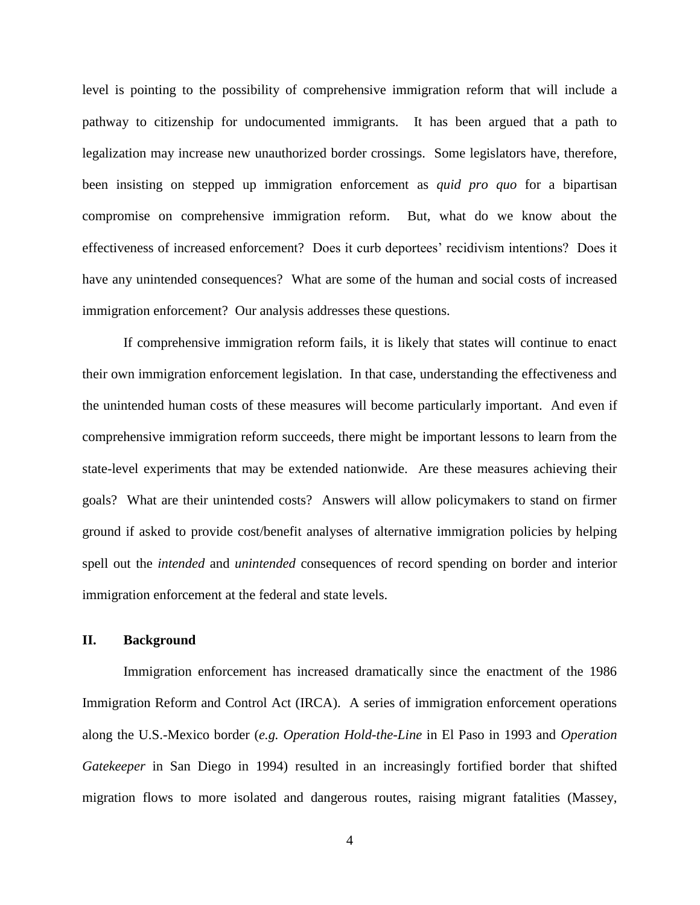level is pointing to the possibility of comprehensive immigration reform that will include a pathway to citizenship for undocumented immigrants. It has been argued that a path to legalization may increase new unauthorized border crossings. Some legislators have, therefore, been insisting on stepped up immigration enforcement as *quid pro quo* for a bipartisan compromise on comprehensive immigration reform. But, what do we know about the effectiveness of increased enforcement? Does it curb deportees' recidivism intentions? Does it have any unintended consequences? What are some of the human and social costs of increased immigration enforcement? Our analysis addresses these questions.

If comprehensive immigration reform fails, it is likely that states will continue to enact their own immigration enforcement legislation. In that case, understanding the effectiveness and the unintended human costs of these measures will become particularly important. And even if comprehensive immigration reform succeeds, there might be important lessons to learn from the state-level experiments that may be extended nationwide. Are these measures achieving their goals? What are their unintended costs? Answers will allow policymakers to stand on firmer ground if asked to provide cost/benefit analyses of alternative immigration policies by helping spell out the *intended* and *unintended* consequences of record spending on border and interior immigration enforcement at the federal and state levels.

# **II. Background**

Immigration enforcement has increased dramatically since the enactment of the 1986 Immigration Reform and Control Act (IRCA). A series of immigration enforcement operations along the U.S.-Mexico border (*e.g. Operation Hold-the-Line* in El Paso in 1993 and *Operation Gatekeeper* in San Diego in 1994) resulted in an increasingly fortified border that shifted migration flows to more isolated and dangerous routes, raising migrant fatalities (Massey,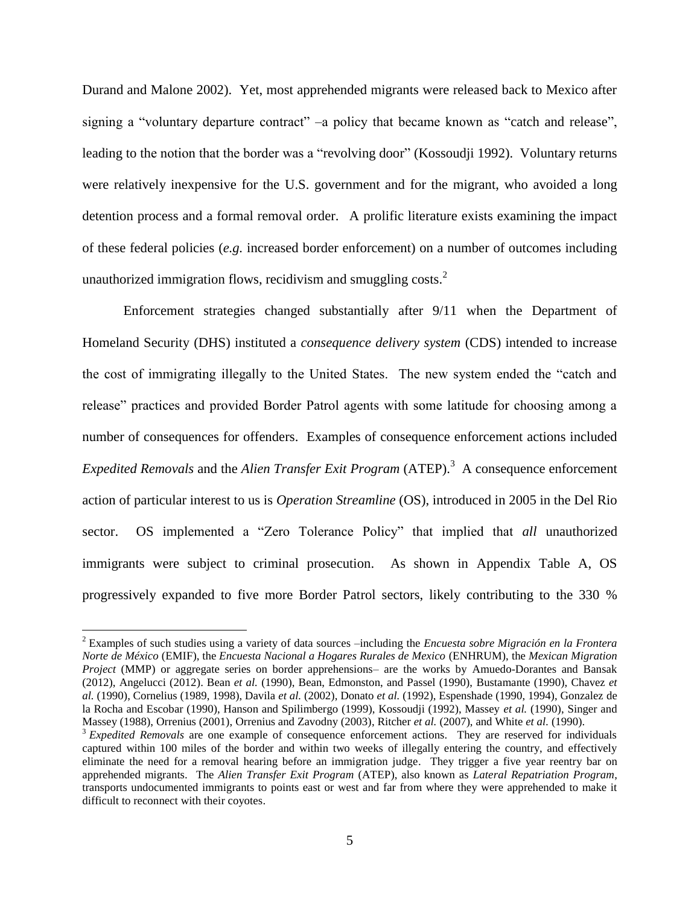Durand and Malone 2002). Yet, most apprehended migrants were released back to Mexico after signing a "voluntary departure contract" –a policy that became known as "catch and release", leading to the notion that the border was a "revolving door" (Kossoudji 1992). Voluntary returns were relatively inexpensive for the U.S. government and for the migrant, who avoided a long detention process and a formal removal order. A prolific literature exists examining the impact of these federal policies (*e.g.* increased border enforcement) on a number of outcomes including unauthorized immigration flows, recidivism and smuggling costs. $2$ 

Enforcement strategies changed substantially after 9/11 when the Department of Homeland Security (DHS) instituted a *consequence delivery system* (CDS) intended to increase the cost of immigrating illegally to the United States. The new system ended the "catch and release" practices and provided Border Patrol agents with some latitude for choosing among a number of consequences for offenders. Examples of consequence enforcement actions included Expedited Removals and the *Alien Transfer Exit Program* (ATEP).<sup>3</sup> A consequence enforcement action of particular interest to us is *Operation Streamline* (OS), introduced in 2005 in the Del Rio sector. OS implemented a "Zero Tolerance Policy" that implied that *all* unauthorized immigrants were subject to criminal prosecution. As shown in Appendix Table A, OS progressively expanded to five more Border Patrol sectors, likely contributing to the 330 %

<sup>2</sup> Examples of such studies using a variety of data sources –including the *Encuesta sobre Migración en la Frontera Norte de México* (EMIF), the *Encuesta Nacional a Hogares Rurales de Mexico* (ENHRUM), the *Mexican Migration Project* (MMP) or aggregate series on border apprehensions– are the works by Amuedo-Dorantes and Bansak (2012), Angelucci (2012). Bean *et al.* (1990), Bean, Edmonston, and Passel (1990), Bustamante (1990), Chavez *et al.* (1990), Cornelius (1989, 1998), Davila *et al.* (2002), Donato *et al.* (1992), Espenshade (1990, 1994), Gonzalez de la Rocha and Escobar (1990), Hanson and Spilimbergo (1999), Kossoudji (1992), Massey *et al.* (1990), Singer and Massey (1988), Orrenius (2001), Orrenius and Zavodny (2003), Ritcher *et al.* (2007), and White *et al.* (1990).

<sup>&</sup>lt;sup>3</sup> *Expedited Removals* are one example of consequence enforcement actions. They are reserved for individuals captured within 100 miles of the border and within two weeks of illegally entering the country, and effectively eliminate the need for a removal hearing before an immigration judge. They trigger a five year reentry bar on apprehended migrants. The *Alien Transfer Exit Program* (ATEP), also known as *Lateral Repatriation Program*, transports undocumented immigrants to points east or west and far from where they were apprehended to make it difficult to reconnect with their coyotes.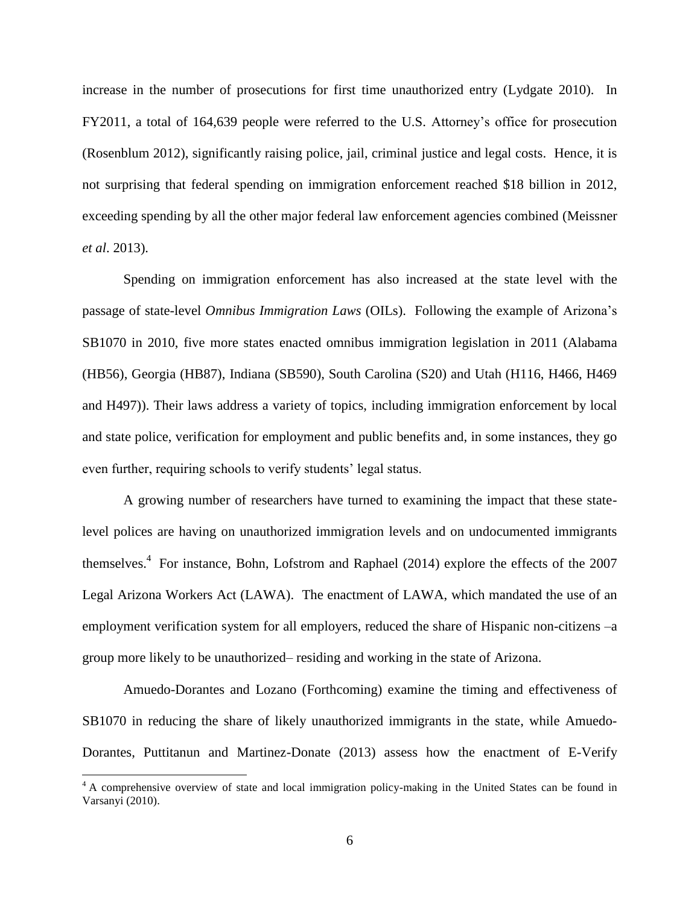increase in the number of prosecutions for first time unauthorized entry (Lydgate 2010). In FY2011, a total of 164,639 people were referred to the U.S. Attorney's office for prosecution (Rosenblum 2012), significantly raising police, jail, criminal justice and legal costs. Hence, it is not surprising that federal spending on immigration enforcement reached \$18 billion in 2012, exceeding spending by all the other major federal law enforcement agencies combined (Meissner *et al*. 2013).

Spending on immigration enforcement has also increased at the state level with the passage of state-level *Omnibus Immigration Laws* (OILs). Following the example of Arizona's SB1070 in 2010, five more states enacted omnibus immigration legislation in 2011 (Alabama (HB56), Georgia (HB87), Indiana (SB590), South Carolina (S20) and Utah (H116, H466, H469 and H497)). Their laws address a variety of topics, including immigration enforcement by local and state police, verification for employment and public benefits and, in some instances, they go even further, requiring schools to verify students' legal status.

A growing number of researchers have turned to examining the impact that these statelevel polices are having on unauthorized immigration levels and on undocumented immigrants themselves.<sup>4</sup> For instance, Bohn, Lofstrom and Raphael (2014) explore the effects of the 2007 Legal Arizona Workers Act (LAWA). The enactment of LAWA, which mandated the use of an employment verification system for all employers, reduced the share of Hispanic non-citizens –a group more likely to be unauthorized– residing and working in the state of Arizona.

Amuedo-Dorantes and Lozano (Forthcoming) examine the timing and effectiveness of SB1070 in reducing the share of likely unauthorized immigrants in the state, while Amuedo-Dorantes, Puttitanun and Martinez-Donate (2013) assess how the enactment of E-Verify

l

<sup>&</sup>lt;sup>4</sup> A comprehensive overview of state and local immigration policy-making in the United States can be found in Varsanyi (2010).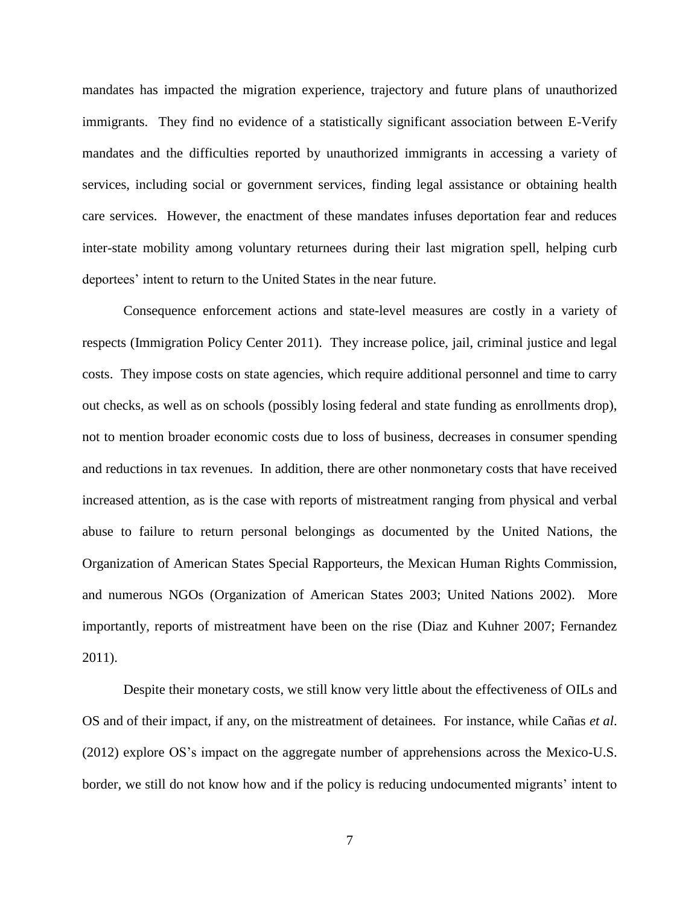mandates has impacted the migration experience, trajectory and future plans of unauthorized immigrants. They find no evidence of a statistically significant association between E-Verify mandates and the difficulties reported by unauthorized immigrants in accessing a variety of services, including social or government services, finding legal assistance or obtaining health care services. However, the enactment of these mandates infuses deportation fear and reduces inter-state mobility among voluntary returnees during their last migration spell, helping curb deportees' intent to return to the United States in the near future.

Consequence enforcement actions and state-level measures are costly in a variety of respects (Immigration Policy Center 2011). They increase police, jail, criminal justice and legal costs. They impose costs on state agencies, which require additional personnel and time to carry out checks, as well as on schools (possibly losing federal and state funding as enrollments drop), not to mention broader economic costs due to loss of business, decreases in consumer spending and reductions in tax revenues. In addition, there are other nonmonetary costs that have received increased attention, as is the case with reports of mistreatment ranging from physical and verbal abuse to failure to return personal belongings as documented by the United Nations, the Organization of American States Special Rapporteurs, the Mexican Human Rights Commission, and numerous NGOs (Organization of American States 2003; United Nations 2002). More importantly, reports of mistreatment have been on the rise (Diaz and Kuhner 2007; Fernandez 2011).

Despite their monetary costs, we still know very little about the effectiveness of OILs and OS and of their impact, if any, on the mistreatment of detainees. For instance, while Cañas *et al*. (2012) explore OS's impact on the aggregate number of apprehensions across the Mexico-U.S. border, we still do not know how and if the policy is reducing undocumented migrants' intent to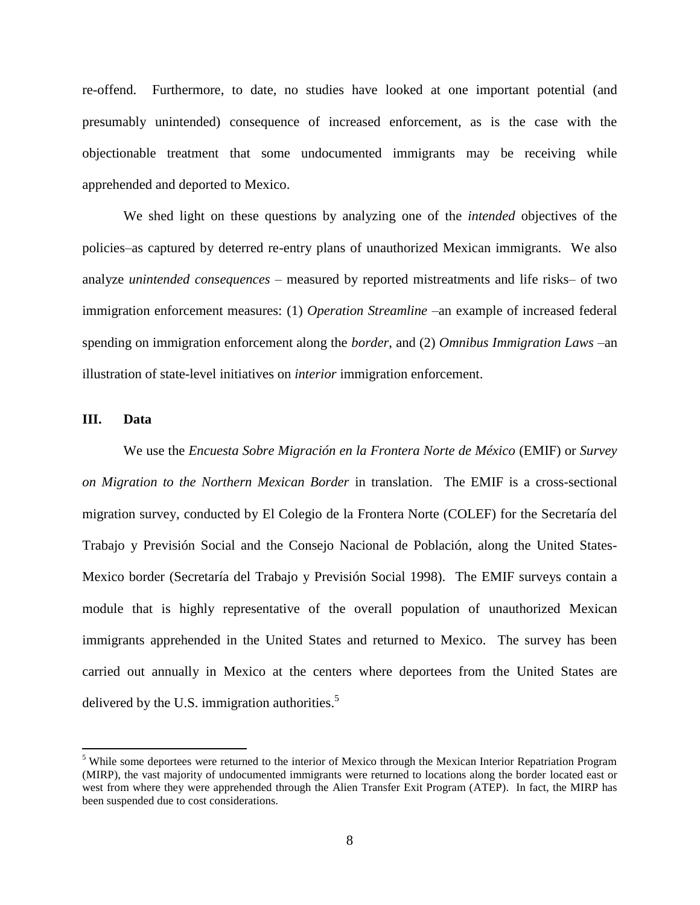re-offend. Furthermore, to date, no studies have looked at one important potential (and presumably unintended) consequence of increased enforcement, as is the case with the objectionable treatment that some undocumented immigrants may be receiving while apprehended and deported to Mexico.

We shed light on these questions by analyzing one of the *intended* objectives of the policies–as captured by deterred re-entry plans of unauthorized Mexican immigrants. We also analyze *unintended consequences* – measured by reported mistreatments and life risks– of two immigration enforcement measures: (1) *Operation Streamline* –an example of increased federal spending on immigration enforcement along the *border*, and (2) *Omnibus Immigration Laws* –an illustration of state-level initiatives on *interior* immigration enforcement.

# **III. Data**

 $\overline{\phantom{a}}$ 

We use the *Encuesta Sobre Migración en la Frontera Norte de México* (EMIF) or *Survey on Migration to the Northern Mexican Border* in translation. The EMIF is a cross-sectional migration survey, conducted by El Colegio de la Frontera Norte (COLEF) for the Secretaría del Trabajo y Previsión Social and the Consejo Nacional de Población, along the United States-Mexico border (Secretaría del Trabajo y Previsión Social 1998). The EMIF surveys contain a module that is highly representative of the overall population of unauthorized Mexican immigrants apprehended in the United States and returned to Mexico. The survey has been carried out annually in Mexico at the centers where deportees from the United States are delivered by the U.S. immigration authorities.<sup>5</sup>

<sup>&</sup>lt;sup>5</sup> While some deportees were returned to the interior of Mexico through the Mexican Interior Repatriation Program (MIRP), the vast majority of undocumented immigrants were returned to locations along the border located east or west from where they were apprehended through the Alien Transfer Exit Program (ATEP). In fact, the MIRP has been suspended due to cost considerations.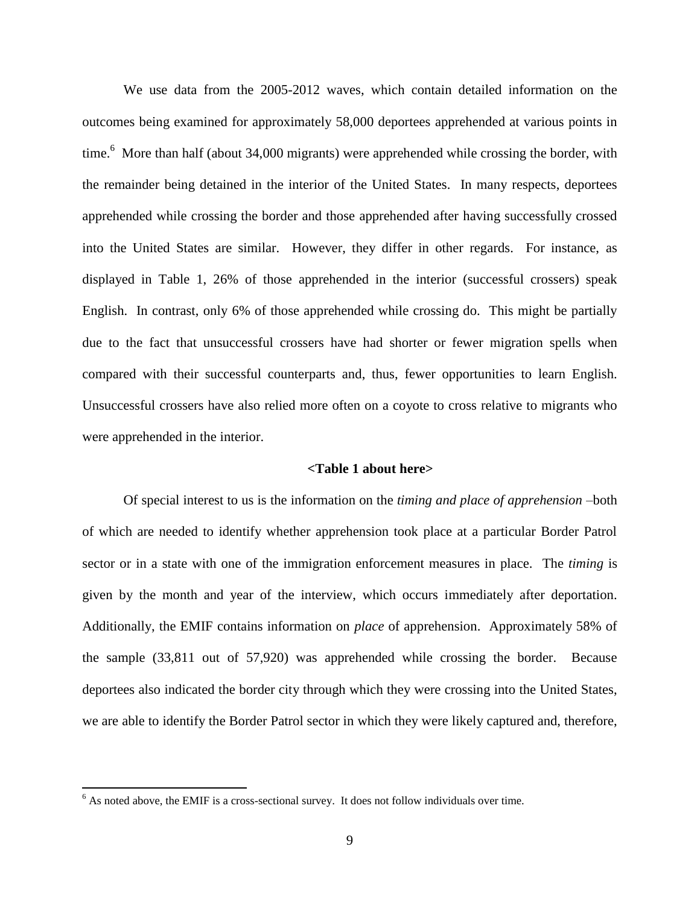We use data from the 2005-2012 waves, which contain detailed information on the outcomes being examined for approximately 58,000 deportees apprehended at various points in time.<sup>6</sup> More than half (about 34,000 migrants) were apprehended while crossing the border, with the remainder being detained in the interior of the United States. In many respects, deportees apprehended while crossing the border and those apprehended after having successfully crossed into the United States are similar. However, they differ in other regards. For instance, as displayed in Table 1, 26% of those apprehended in the interior (successful crossers) speak English. In contrast, only 6% of those apprehended while crossing do. This might be partially due to the fact that unsuccessful crossers have had shorter or fewer migration spells when compared with their successful counterparts and, thus, fewer opportunities to learn English. Unsuccessful crossers have also relied more often on a coyote to cross relative to migrants who were apprehended in the interior.

# **<Table 1 about here>**

Of special interest to us is the information on the *timing and place of apprehension* –both of which are needed to identify whether apprehension took place at a particular Border Patrol sector or in a state with one of the immigration enforcement measures in place. The *timing* is given by the month and year of the interview, which occurs immediately after deportation. Additionally, the EMIF contains information on *place* of apprehension. Approximately 58% of the sample (33,811 out of 57,920) was apprehended while crossing the border. Because deportees also indicated the border city through which they were crossing into the United States, we are able to identify the Border Patrol sector in which they were likely captured and, therefore,

 $6$  As noted above, the EMIF is a cross-sectional survey. It does not follow individuals over time.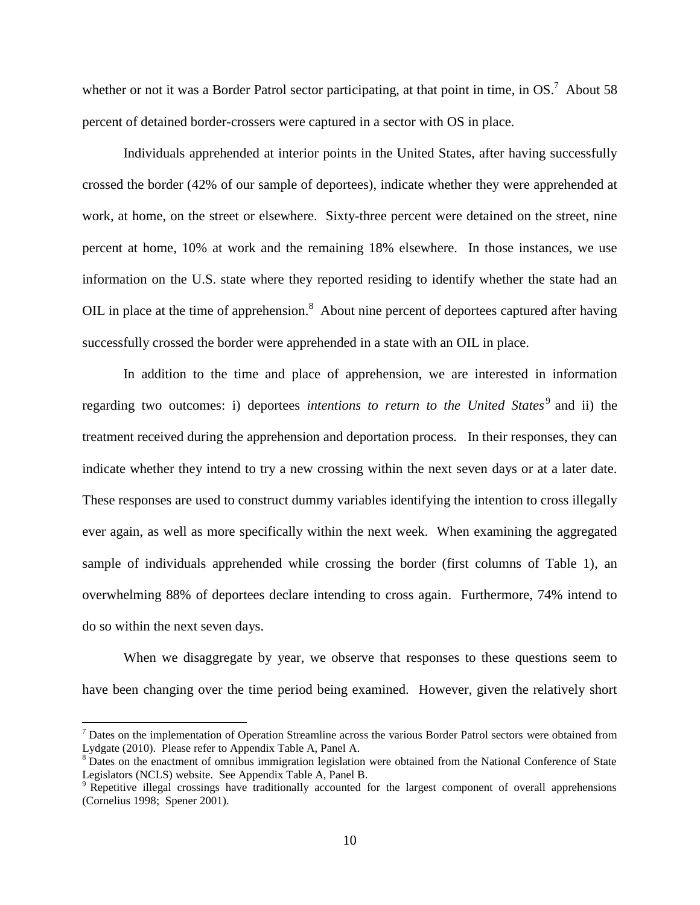whether or not it was a Border Patrol sector participating, at that point in time, in  $OS$ .<sup>7</sup> About 58 percent of detained border-crossers were captured in a sector with OS in place.

Individuals apprehended at interior points in the United States, after having successfully crossed the border (42% of our sample of deportees), indicate whether they were apprehended at work, at home, on the street or elsewhere. Sixty-three percent were detained on the street, nine percent at home, 10% at work and the remaining 18% elsewhere. In those instances, we use information on the U.S. state where they reported residing to identify whether the state had an OIL in place at the time of apprehension.<sup>8</sup> About nine percent of deportees captured after having successfully crossed the border were apprehended in a state with an OIL in place.

In addition to the time and place of apprehension, we are interested in information regarding two outcomes: i) deportees *intentions to return to the United States*<sup>9</sup> and ii) the treatment received during the apprehension and deportation process*.* In their responses, they can indicate whether they intend to try a new crossing within the next seven days or at a later date. These responses are used to construct dummy variables identifying the intention to cross illegally ever again, as well as more specifically within the next week. When examining the aggregated sample of individuals apprehended while crossing the border (first columns of Table 1), an overwhelming 88% of deportees declare intending to cross again. Furthermore, 74% intend to do so within the next seven days.

When we disaggregate by year, we observe that responses to these questions seem to have been changing over the time period being examined. However, given the relatively short

 $<sup>7</sup>$  Dates on the implementation of Operation Streamline across the various Border Patrol sectors were obtained from</sup> Lydgate (2010). Please refer to Appendix Table A, Panel A.

<sup>&</sup>lt;sup>8</sup> Dates on the enactment of omnibus immigration legislation were obtained from the National Conference of State Legislators (NCLS) website. See Appendix Table A, Panel B.

<sup>&</sup>lt;sup>9</sup> Repetitive illegal crossings have traditionally accounted for the largest component of overall apprehensions (Cornelius 1998; Spener 2001).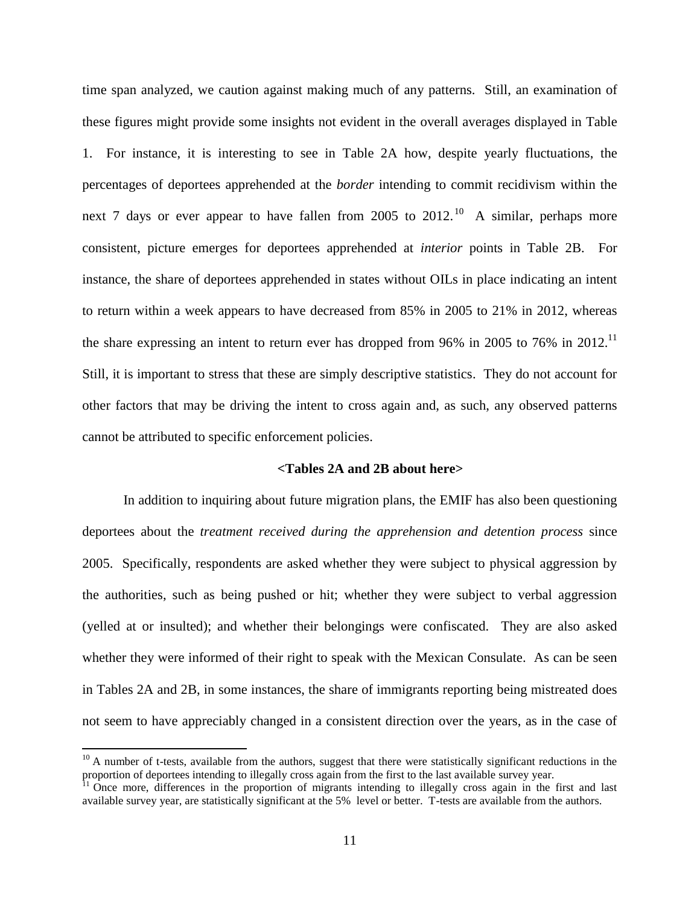time span analyzed, we caution against making much of any patterns. Still, an examination of these figures might provide some insights not evident in the overall averages displayed in Table 1. For instance, it is interesting to see in Table 2A how, despite yearly fluctuations, the percentages of deportees apprehended at the *border* intending to commit recidivism within the next 7 days or ever appear to have fallen from 2005 to 2012.<sup>10</sup> A similar, perhaps more consistent, picture emerges for deportees apprehended at *interior* points in Table 2B. For instance, the share of deportees apprehended in states without OILs in place indicating an intent to return within a week appears to have decreased from 85% in 2005 to 21% in 2012, whereas the share expressing an intent to return ever has dropped from 96% in 2005 to 76% in 2012.<sup>11</sup> Still, it is important to stress that these are simply descriptive statistics. They do not account for other factors that may be driving the intent to cross again and, as such, any observed patterns cannot be attributed to specific enforcement policies.

# **<Tables 2A and 2B about here>**

In addition to inquiring about future migration plans, the EMIF has also been questioning deportees about the *treatment received during the apprehension and detention process* since 2005. Specifically, respondents are asked whether they were subject to physical aggression by the authorities, such as being pushed or hit; whether they were subject to verbal aggression (yelled at or insulted); and whether their belongings were confiscated. They are also asked whether they were informed of their right to speak with the Mexican Consulate. As can be seen in Tables 2A and 2B, in some instances, the share of immigrants reporting being mistreated does not seem to have appreciably changed in a consistent direction over the years, as in the case of

 $10$  A number of t-tests, available from the authors, suggest that there were statistically significant reductions in the proportion of deportees intending to illegally cross again from the first to the last available survey year.

<sup>&</sup>lt;sup>11</sup> Once more, differences in the proportion of migrants intending to illegally cross again in the first and last available survey year, are statistically significant at the 5% level or better. T-tests are available from the authors.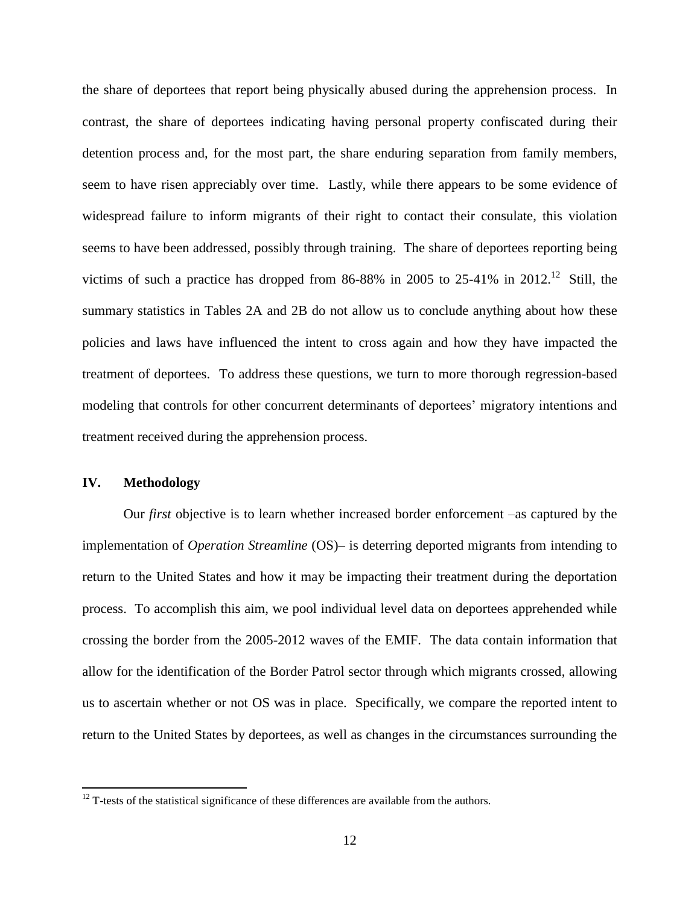the share of deportees that report being physically abused during the apprehension process. In contrast, the share of deportees indicating having personal property confiscated during their detention process and, for the most part, the share enduring separation from family members, seem to have risen appreciably over time. Lastly, while there appears to be some evidence of widespread failure to inform migrants of their right to contact their consulate, this violation seems to have been addressed, possibly through training. The share of deportees reporting being victims of such a practice has dropped from 86-88% in 2005 to 25-41% in 2012.<sup>12</sup> Still, the summary statistics in Tables 2A and 2B do not allow us to conclude anything about how these policies and laws have influenced the intent to cross again and how they have impacted the treatment of deportees. To address these questions, we turn to more thorough regression-based modeling that controls for other concurrent determinants of deportees' migratory intentions and treatment received during the apprehension process.

# **IV. Methodology**

 $\overline{\phantom{a}}$ 

Our *first* objective is to learn whether increased border enforcement –as captured by the implementation of *Operation Streamline* (OS)– is deterring deported migrants from intending to return to the United States and how it may be impacting their treatment during the deportation process. To accomplish this aim, we pool individual level data on deportees apprehended while crossing the border from the 2005-2012 waves of the EMIF. The data contain information that allow for the identification of the Border Patrol sector through which migrants crossed, allowing us to ascertain whether or not OS was in place. Specifically, we compare the reported intent to return to the United States by deportees, as well as changes in the circumstances surrounding the

 $12$  T-tests of the statistical significance of these differences are available from the authors.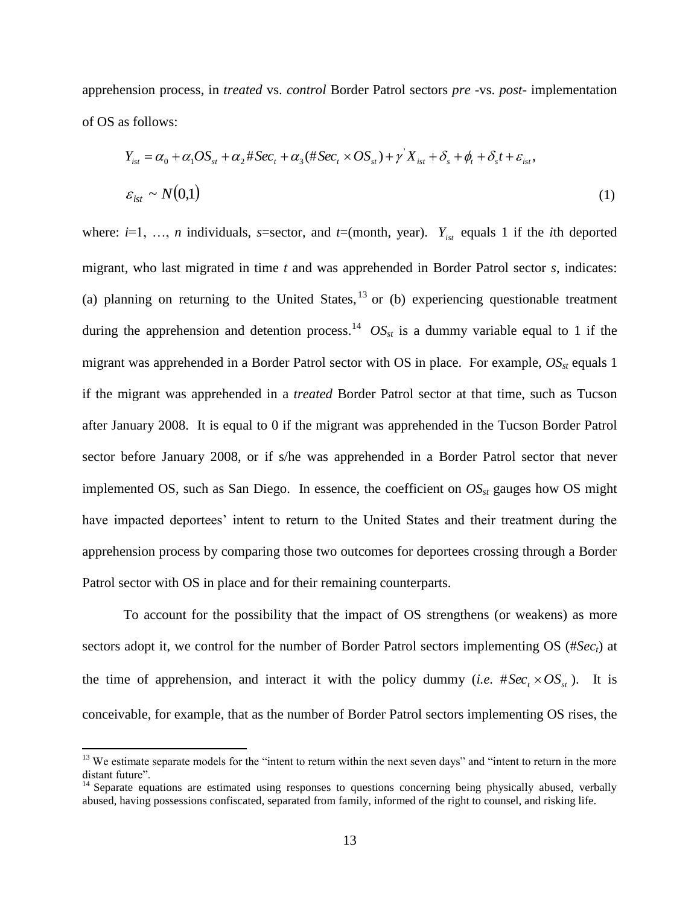apprehension process, in *treated* vs. *control* Border Patrol sectors *pre* -vs. *post-* implementation of OS as follows:

$$
Y_{ist} = \alpha_0 + \alpha_1 OS_{st} + \alpha_2 # Sec_t + \alpha_3 (# Sec_t \times OS_{st}) + \gamma' X_{ist} + \delta_s + \phi_t + \delta_s t + \varepsilon_{ist},
$$
  

$$
\varepsilon_{ist} \sim N(0,1)
$$
 (1)

where:  $i=1, \ldots, n$  individuals, *s*=sector, and  $t=($ month, year).  $Y_{ist}$  equals 1 if the *i*th deported migrant, who last migrated in time *t* and was apprehended in Border Patrol sector *s*, indicates: (a) planning on returning to the United States,  $^{13}$  or (b) experiencing questionable treatment during the apprehension and detention process.<sup>14</sup>  $OS_{st}$  is a dummy variable equal to 1 if the migrant was apprehended in a Border Patrol sector with OS in place. For example, *OSst* equals 1 if the migrant was apprehended in a *treated* Border Patrol sector at that time, such as Tucson after January 2008. It is equal to 0 if the migrant was apprehended in the Tucson Border Patrol sector before January 2008, or if s/he was apprehended in a Border Patrol sector that never implemented OS, such as San Diego. In essence, the coefficient on *OSst* gauges how OS might have impacted deportees' intent to return to the United States and their treatment during the apprehension process by comparing those two outcomes for deportees crossing through a Border Patrol sector with OS in place and for their remaining counterparts.

To account for the possibility that the impact of OS strengthens (or weakens) as more sectors adopt it, we control for the number of Border Patrol sectors implementing OS (#*Sect*) at the time of apprehension, and interact it with the policy dummy (*i.e.*  $#Sec_{t} \times OS_{st}$ ). It is conceivable, for example, that as the number of Border Patrol sectors implementing OS rises, the

<sup>&</sup>lt;sup>13</sup> We estimate separate models for the "intent to return within the next seven days" and "intent to return in the more distant future".

<sup>&</sup>lt;sup>14</sup> Separate equations are estimated using responses to questions concerning being physically abused, verbally abused, having possessions confiscated, separated from family, informed of the right to counsel, and risking life.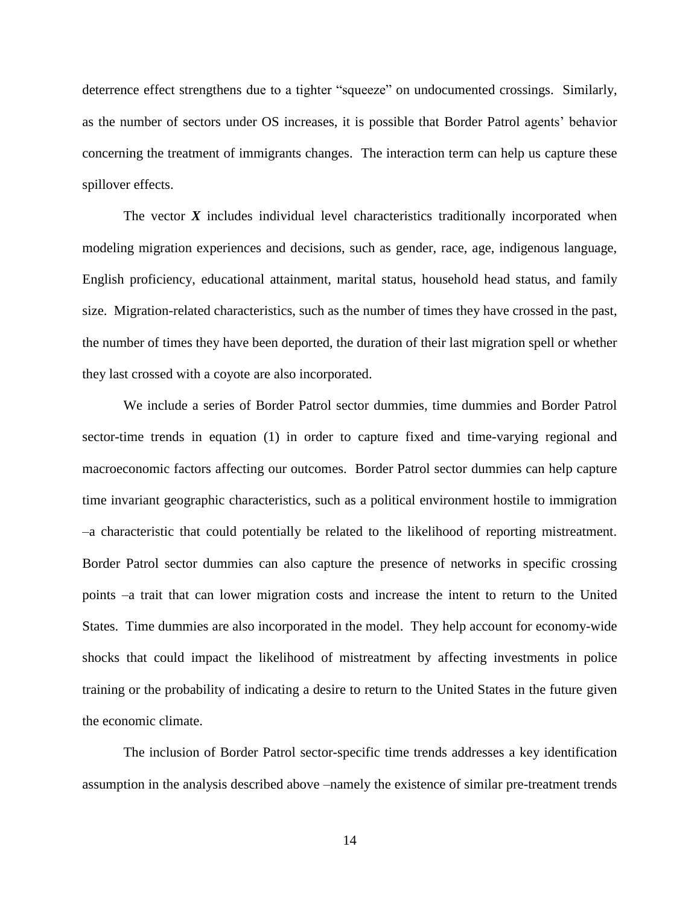deterrence effect strengthens due to a tighter "squeeze" on undocumented crossings. Similarly, as the number of sectors under OS increases, it is possible that Border Patrol agents' behavior concerning the treatment of immigrants changes. The interaction term can help us capture these spillover effects.

The vector *X* includes individual level characteristics traditionally incorporated when modeling migration experiences and decisions, such as gender, race, age, indigenous language, English proficiency, educational attainment, marital status, household head status, and family size. Migration-related characteristics, such as the number of times they have crossed in the past, the number of times they have been deported, the duration of their last migration spell or whether they last crossed with a coyote are also incorporated.

We include a series of Border Patrol sector dummies, time dummies and Border Patrol sector-time trends in equation (1) in order to capture fixed and time-varying regional and macroeconomic factors affecting our outcomes. Border Patrol sector dummies can help capture time invariant geographic characteristics, such as a political environment hostile to immigration –a characteristic that could potentially be related to the likelihood of reporting mistreatment. Border Patrol sector dummies can also capture the presence of networks in specific crossing points –a trait that can lower migration costs and increase the intent to return to the United States. Time dummies are also incorporated in the model. They help account for economy-wide shocks that could impact the likelihood of mistreatment by affecting investments in police training or the probability of indicating a desire to return to the United States in the future given the economic climate.

The inclusion of Border Patrol sector-specific time trends addresses a key identification assumption in the analysis described above –namely the existence of similar pre-treatment trends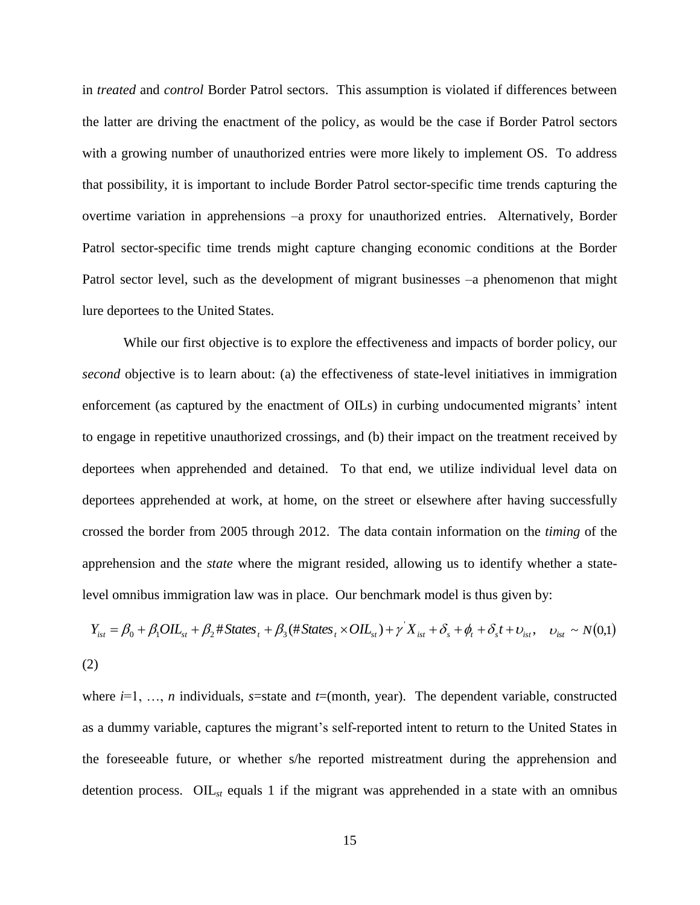in *treated* and *control* Border Patrol sectors. This assumption is violated if differences between the latter are driving the enactment of the policy, as would be the case if Border Patrol sectors with a growing number of unauthorized entries were more likely to implement OS. To address that possibility, it is important to include Border Patrol sector-specific time trends capturing the overtime variation in apprehensions –a proxy for unauthorized entries. Alternatively, Border Patrol sector-specific time trends might capture changing economic conditions at the Border Patrol sector level, such as the development of migrant businesses –a phenomenon that might lure deportees to the United States.

While our first objective is to explore the effectiveness and impacts of border policy, our *second* objective is to learn about: (a) the effectiveness of state-level initiatives in immigration enforcement (as captured by the enactment of OILs) in curbing undocumented migrants' intent to engage in repetitive unauthorized crossings, and (b) their impact on the treatment received by deportees when apprehended and detained. To that end, we utilize individual level data on deportees apprehended at work, at home, on the street or elsewhere after having successfully crossed the border from 2005 through 2012. The data contain information on the *timing* of the apprehension and the *state* where the migrant resided, allowing us to identify whether a statelevel omnibus immigration law was in place. Our benchmark model is thus given by:

$$
Y_{ist} = \beta_0 + \beta_1 OIL_{st} + \beta_2 # States_t + \beta_3 (#States_t \times OIL_{st}) + \gamma' X_{ist} + \delta_s + \phi_t + \delta_s t + \upsilon_{ist}, \quad \upsilon_{ist} \sim N(0,1)
$$
\n
$$
(2)
$$

where  $i=1, \ldots, n$  individuals, *s*=state and *t*=(month, year). The dependent variable, constructed as a dummy variable, captures the migrant's self-reported intent to return to the United States in the foreseeable future, or whether s/he reported mistreatment during the apprehension and detention process. OIL*st* equals 1 if the migrant was apprehended in a state with an omnibus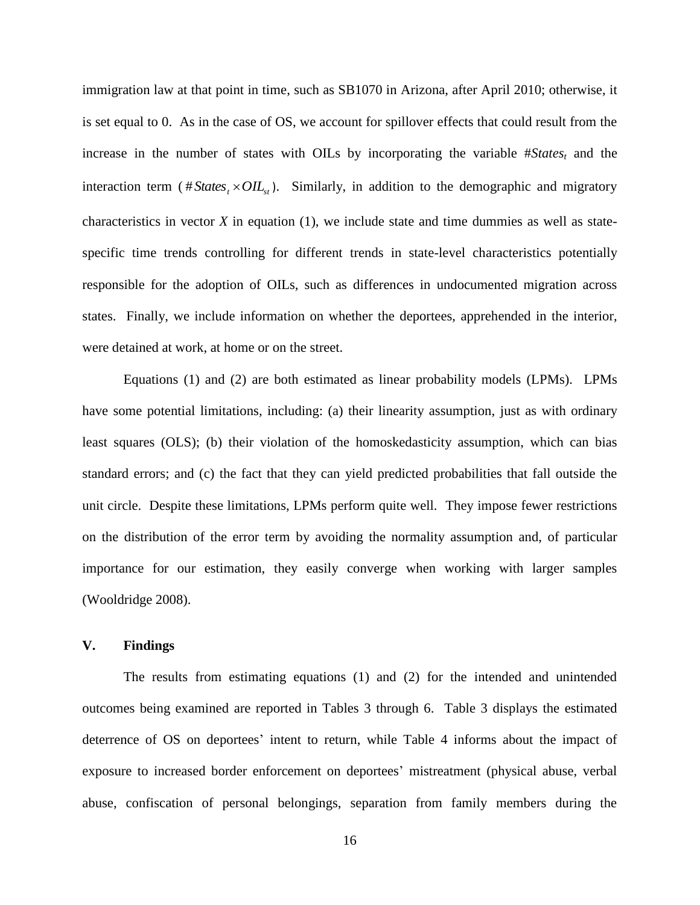immigration law at that point in time, such as SB1070 in Arizona, after April 2010; otherwise, it is set equal to 0. As in the case of OS, we account for spillover effects that could result from the increase in the number of states with OILs by incorporating the variable #*States<sup>t</sup>* and the interaction term ( $# States_t \times OIL_{st}$ ). Similarly, in addition to the demographic and migratory characteristics in vector  $X$  in equation (1), we include state and time dummies as well as statespecific time trends controlling for different trends in state-level characteristics potentially responsible for the adoption of OILs, such as differences in undocumented migration across states. Finally, we include information on whether the deportees, apprehended in the interior, were detained at work, at home or on the street.

Equations (1) and (2) are both estimated as linear probability models (LPMs). LPMs have some potential limitations, including: (a) their linearity assumption, just as with ordinary least squares (OLS); (b) their violation of the homoskedasticity assumption, which can bias standard errors; and (c) the fact that they can yield predicted probabilities that fall outside the unit circle. Despite these limitations, LPMs perform quite well. They impose fewer restrictions on the distribution of the error term by avoiding the normality assumption and, of particular importance for our estimation, they easily converge when working with larger samples (Wooldridge 2008).

# **V. Findings**

The results from estimating equations (1) and (2) for the intended and unintended outcomes being examined are reported in Tables 3 through 6. Table 3 displays the estimated deterrence of OS on deportees' intent to return, while Table 4 informs about the impact of exposure to increased border enforcement on deportees' mistreatment (physical abuse, verbal abuse, confiscation of personal belongings, separation from family members during the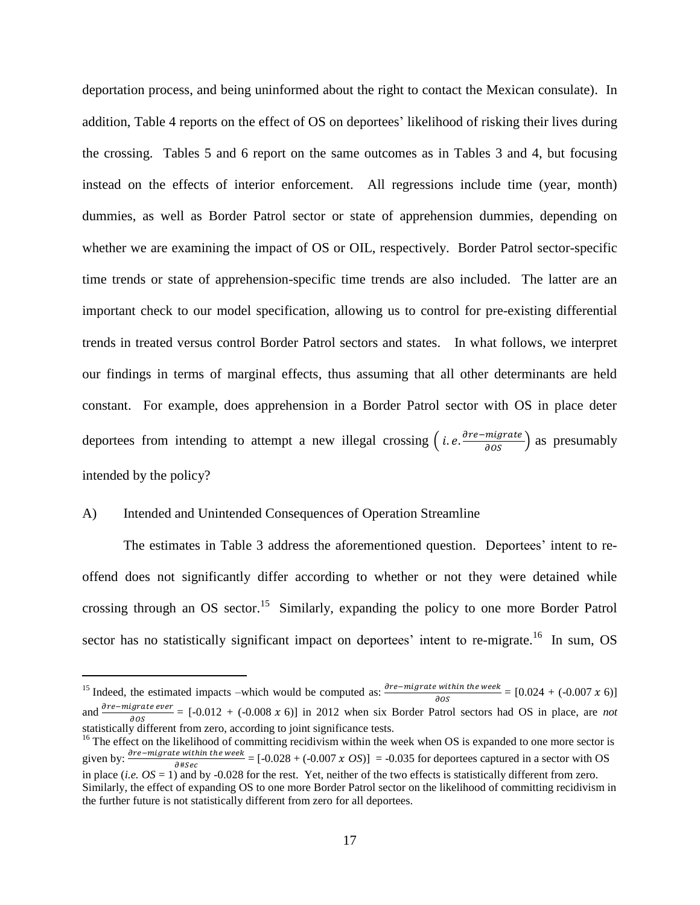deportation process, and being uninformed about the right to contact the Mexican consulate). In addition, Table 4 reports on the effect of OS on deportees' likelihood of risking their lives during the crossing. Tables 5 and 6 report on the same outcomes as in Tables 3 and 4, but focusing instead on the effects of interior enforcement. All regressions include time (year, month) dummies, as well as Border Patrol sector or state of apprehension dummies, depending on whether we are examining the impact of OS or OIL, respectively. Border Patrol sector-specific time trends or state of apprehension-specific time trends are also included. The latter are an important check to our model specification, allowing us to control for pre-existing differential trends in treated versus control Border Patrol sectors and states. In what follows, we interpret our findings in terms of marginal effects, thus assuming that all other determinants are held constant. For example, does apprehension in a Border Patrol sector with OS in place deter deportees from intending to attempt a new illegal crossing  $(i.e. \frac{\partial re-migrate}{\partial OS})$  as presumably intended by the policy?

# A) Intended and Unintended Consequences of Operation Streamline

 $\overline{\phantom{a}}$ 

The estimates in Table 3 address the aforementioned question. Deportees' intent to reoffend does not significantly differ according to whether or not they were detained while crossing through an OS sector.<sup>15</sup> Similarly, expanding the policy to one more Border Patrol sector has no statistically significant impact on deportees' intent to re-migrate.<sup>16</sup> In sum, OS

<sup>&</sup>lt;sup>15</sup> Indeed, the estimated impacts –which would be computed as:  $\frac{\partial re-magnetic \text{ within the week}}{\partial \theta s} = [0.024 + (-0.007 \text{ x } 6)]$ and  $\frac{\partial t e - m g \sin \theta}{\partial \theta s}$  = [-0.012 + (-0.008 x 6)] in 2012 when six Border Patrol sectors had OS in place, are *not* statistically different from zero, according to joint significance tests.

<sup>&</sup>lt;sup>16</sup> The effect on the likelihood of committing recidivism within the week when OS is expanded to one more sector is given by:  $\frac{\partial P}{\partial \theta} = \frac{\partial P}{\partial \theta} = [-0.028 + (-0.007 \times OS)] = -0.035$  for deportees captured in a sector with OS  $\partial$ #Sec in place (*i.e.*  $OS = 1$ ) and by -0.028 for the rest. Yet, neither of the two effects is statistically different from zero. Similarly, the effect of expanding OS to one more Border Patrol sector on the likelihood of committing recidivism in the further future is not statistically different from zero for all deportees.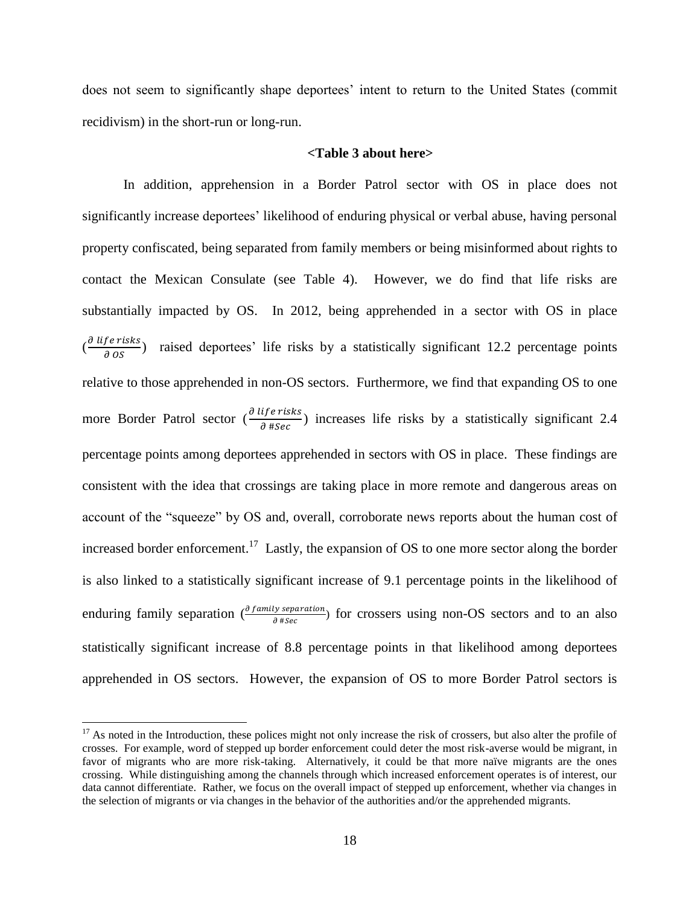does not seem to significantly shape deportees' intent to return to the United States (commit recidivism) in the short-run or long-run.

# **<Table 3 about here>**

In addition, apprehension in a Border Patrol sector with OS in place does not significantly increase deportees' likelihood of enduring physical or verbal abuse, having personal property confiscated, being separated from family members or being misinformed about rights to contact the Mexican Consulate (see Table 4). However, we do find that life risks are substantially impacted by OS. In 2012, being apprehended in a sector with OS in place  $\left(\frac{\partial}{\partial x}\right)^2$  $\frac{\partial P}{\partial \theta}$  raised deportees' life risks by a statistically significant 12.2 percentage points relative to those apprehended in non-OS sectors. Furthermore, we find that expanding OS to one more Border Patrol sector  $\left(\frac{\partial}{\partial x}\right)^2$  $\frac{\partial f}{\partial \theta}$  increases life risks by a statistically significant 2.4 percentage points among deportees apprehended in sectors with OS in place. These findings are consistent with the idea that crossings are taking place in more remote and dangerous areas on account of the "squeeze" by OS and, overall, corroborate news reports about the human cost of increased border enforcement.<sup>17</sup> Lastly, the expansion of OS to one more sector along the border is also linked to a statistically significant increase of 9.1 percentage points in the likelihood of enduring family separation  $\left(\frac{\partial f_{amily\; separation}}{\partial #sec}\right)$  for crossers using non-OS sectors and to an also statistically significant increase of 8.8 percentage points in that likelihood among deportees apprehended in OS sectors. However, the expansion of OS to more Border Patrol sectors is

 $17$  As noted in the Introduction, these polices might not only increase the risk of crossers, but also alter the profile of crosses. For example, word of stepped up border enforcement could deter the most risk-averse would be migrant, in favor of migrants who are more risk-taking. Alternatively, it could be that more naïve migrants are the ones crossing. While distinguishing among the channels through which increased enforcement operates is of interest, our data cannot differentiate. Rather, we focus on the overall impact of stepped up enforcement, whether via changes in the selection of migrants or via changes in the behavior of the authorities and/or the apprehended migrants.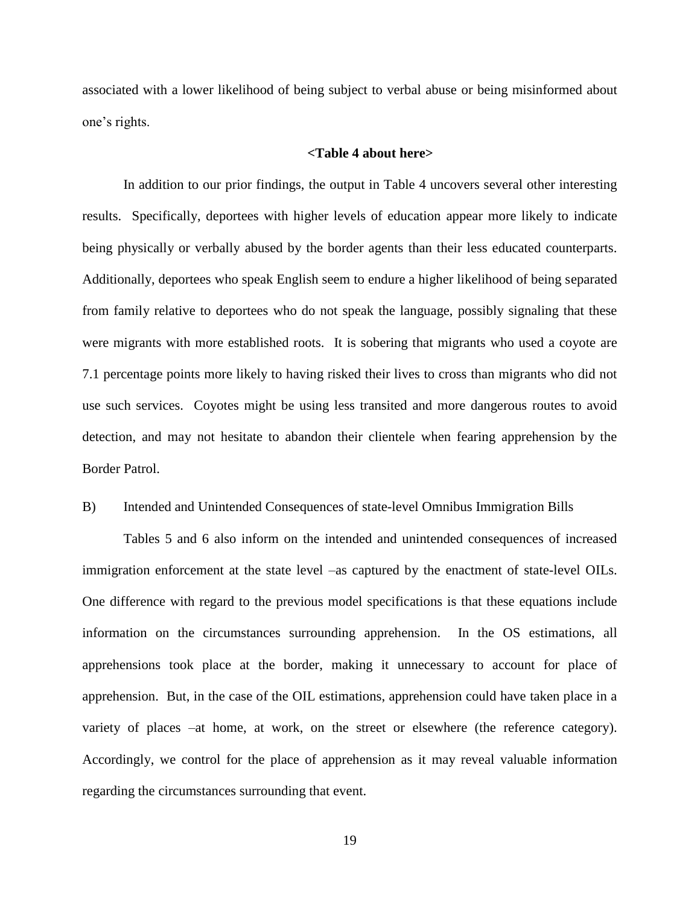associated with a lower likelihood of being subject to verbal abuse or being misinformed about one's rights.

# **<Table 4 about here>**

In addition to our prior findings, the output in Table 4 uncovers several other interesting results. Specifically, deportees with higher levels of education appear more likely to indicate being physically or verbally abused by the border agents than their less educated counterparts. Additionally, deportees who speak English seem to endure a higher likelihood of being separated from family relative to deportees who do not speak the language, possibly signaling that these were migrants with more established roots. It is sobering that migrants who used a coyote are 7.1 percentage points more likely to having risked their lives to cross than migrants who did not use such services. Coyotes might be using less transited and more dangerous routes to avoid detection, and may not hesitate to abandon their clientele when fearing apprehension by the Border Patrol.

# B) Intended and Unintended Consequences of state-level Omnibus Immigration Bills

Tables 5 and 6 also inform on the intended and unintended consequences of increased immigration enforcement at the state level –as captured by the enactment of state-level OILs. One difference with regard to the previous model specifications is that these equations include information on the circumstances surrounding apprehension. In the OS estimations, all apprehensions took place at the border, making it unnecessary to account for place of apprehension. But, in the case of the OIL estimations, apprehension could have taken place in a variety of places –at home, at work, on the street or elsewhere (the reference category). Accordingly, we control for the place of apprehension as it may reveal valuable information regarding the circumstances surrounding that event.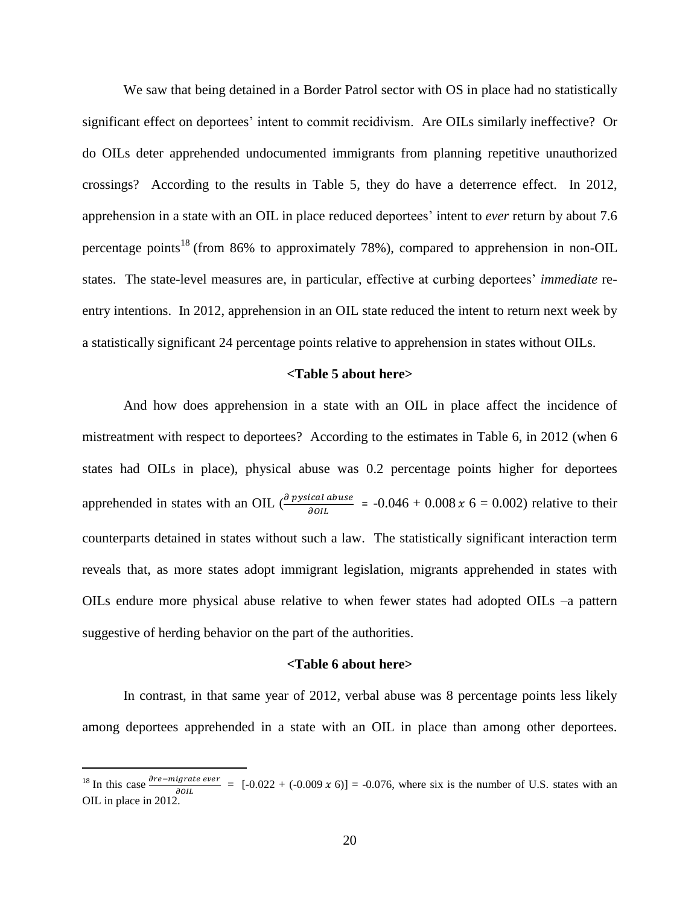We saw that being detained in a Border Patrol sector with OS in place had no statistically significant effect on deportees' intent to commit recidivism. Are OILs similarly ineffective? Or do OILs deter apprehended undocumented immigrants from planning repetitive unauthorized crossings? According to the results in Table 5, they do have a deterrence effect. In 2012, apprehension in a state with an OIL in place reduced deportees' intent to *ever* return by about 7.6 percentage points<sup>18</sup> (from 86% to approximately 78%), compared to apprehension in non-OIL states. The state-level measures are, in particular, effective at curbing deportees' *immediate* reentry intentions. In 2012, apprehension in an OIL state reduced the intent to return next week by a statistically significant 24 percentage points relative to apprehension in states without OILs.

# **<Table 5 about here>**

And how does apprehension in a state with an OIL in place affect the incidence of mistreatment with respect to deportees? According to the estimates in Table 6, in 2012 (when 6 states had OILs in place), physical abuse was 0.2 percentage points higher for deportees apprehended in states with an OIL  $\left(\frac{\partial \text{pysical abuse}}{\partial \text{OL}}\right)$  = -0.046 + 0.008 x 6 = 0.002) relative to their counterparts detained in states without such a law. The statistically significant interaction term reveals that, as more states adopt immigrant legislation, migrants apprehended in states with OILs endure more physical abuse relative to when fewer states had adopted OILs –a pattern suggestive of herding behavior on the part of the authorities.

# **<Table 6 about here>**

In contrast, in that same year of 2012, verbal abuse was 8 percentage points less likely among deportees apprehended in a state with an OIL in place than among other deportees.

l

<sup>&</sup>lt;sup>18</sup> In this case  $\frac{\partial re-migrate\,ever}{\partial OIL}$  = [-0.022 + (-0.009 x 6)] = -0.076, where six is the number of U.S. states with an OIL in place in 2012.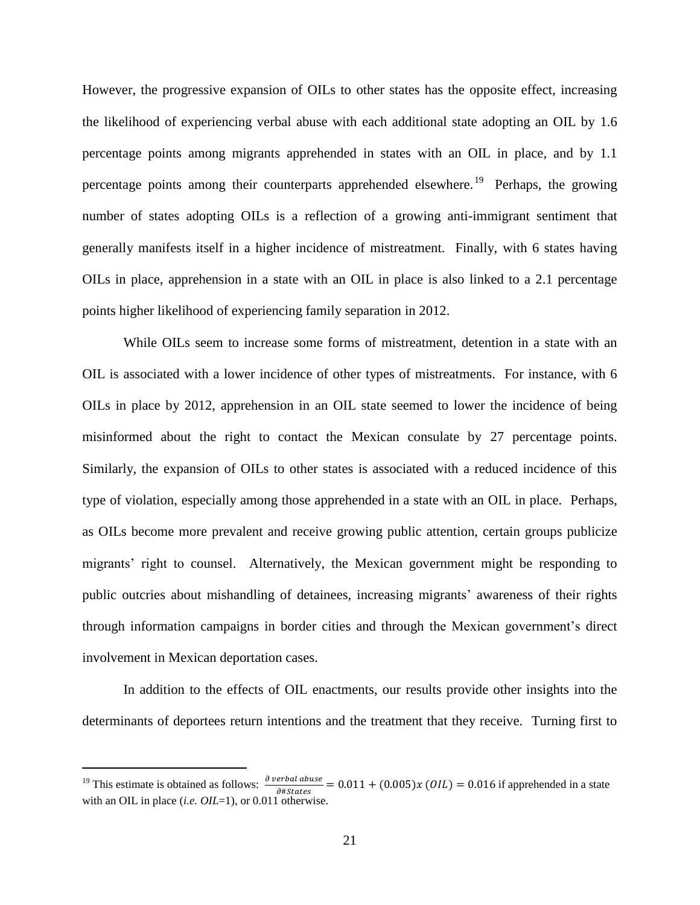However, the progressive expansion of OILs to other states has the opposite effect, increasing the likelihood of experiencing verbal abuse with each additional state adopting an OIL by 1.6 percentage points among migrants apprehended in states with an OIL in place, and by 1.1 percentage points among their counterparts apprehended elsewhere.<sup>19</sup> Perhaps, the growing number of states adopting OILs is a reflection of a growing anti-immigrant sentiment that generally manifests itself in a higher incidence of mistreatment. Finally, with 6 states having OILs in place, apprehension in a state with an OIL in place is also linked to a 2.1 percentage points higher likelihood of experiencing family separation in 2012.

While OILs seem to increase some forms of mistreatment, detention in a state with an OIL is associated with a lower incidence of other types of mistreatments. For instance, with 6 OILs in place by 2012, apprehension in an OIL state seemed to lower the incidence of being misinformed about the right to contact the Mexican consulate by 27 percentage points. Similarly, the expansion of OILs to other states is associated with a reduced incidence of this type of violation, especially among those apprehended in a state with an OIL in place. Perhaps, as OILs become more prevalent and receive growing public attention, certain groups publicize migrants' right to counsel. Alternatively, the Mexican government might be responding to public outcries about mishandling of detainees, increasing migrants' awareness of their rights through information campaigns in border cities and through the Mexican government's direct involvement in Mexican deportation cases.

In addition to the effects of OIL enactments, our results provide other insights into the determinants of deportees return intentions and the treatment that they receive. Turning first to

l

<sup>&</sup>lt;sup>19</sup> This estimate is obtained as follows:  $\frac{\partial \text{ verbal abuse}}{\partial # \text{States}}$  = 0.011 + (0.005)x (*OIL*) = 0.016 if apprehended in a state with an OIL in place *(i.e. OIL*=1), or 0.011 otherwise.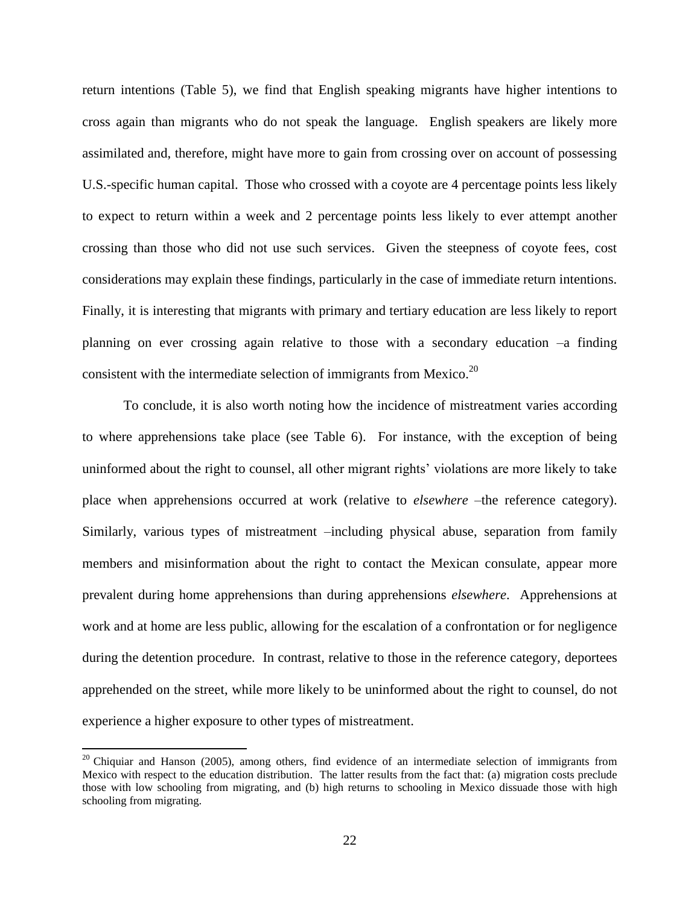return intentions (Table 5), we find that English speaking migrants have higher intentions to cross again than migrants who do not speak the language. English speakers are likely more assimilated and, therefore, might have more to gain from crossing over on account of possessing U.S.-specific human capital. Those who crossed with a coyote are 4 percentage points less likely to expect to return within a week and 2 percentage points less likely to ever attempt another crossing than those who did not use such services. Given the steepness of coyote fees, cost considerations may explain these findings, particularly in the case of immediate return intentions. Finally, it is interesting that migrants with primary and tertiary education are less likely to report planning on ever crossing again relative to those with a secondary education –a finding consistent with the intermediate selection of immigrants from Mexico. $^{20}$ 

 To conclude, it is also worth noting how the incidence of mistreatment varies according to where apprehensions take place (see Table 6). For instance, with the exception of being uninformed about the right to counsel, all other migrant rights' violations are more likely to take place when apprehensions occurred at work (relative to *elsewhere* –the reference category). Similarly, various types of mistreatment –including physical abuse, separation from family members and misinformation about the right to contact the Mexican consulate, appear more prevalent during home apprehensions than during apprehensions *elsewhere*. Apprehensions at work and at home are less public, allowing for the escalation of a confrontation or for negligence during the detention procedure. In contrast, relative to those in the reference category, deportees apprehended on the street, while more likely to be uninformed about the right to counsel, do not experience a higher exposure to other types of mistreatment.

<sup>&</sup>lt;sup>20</sup> Chiquiar and Hanson (2005), among others, find evidence of an intermediate selection of immigrants from Mexico with respect to the education distribution. The latter results from the fact that: (a) migration costs preclude those with low schooling from migrating, and (b) high returns to schooling in Mexico dissuade those with high schooling from migrating.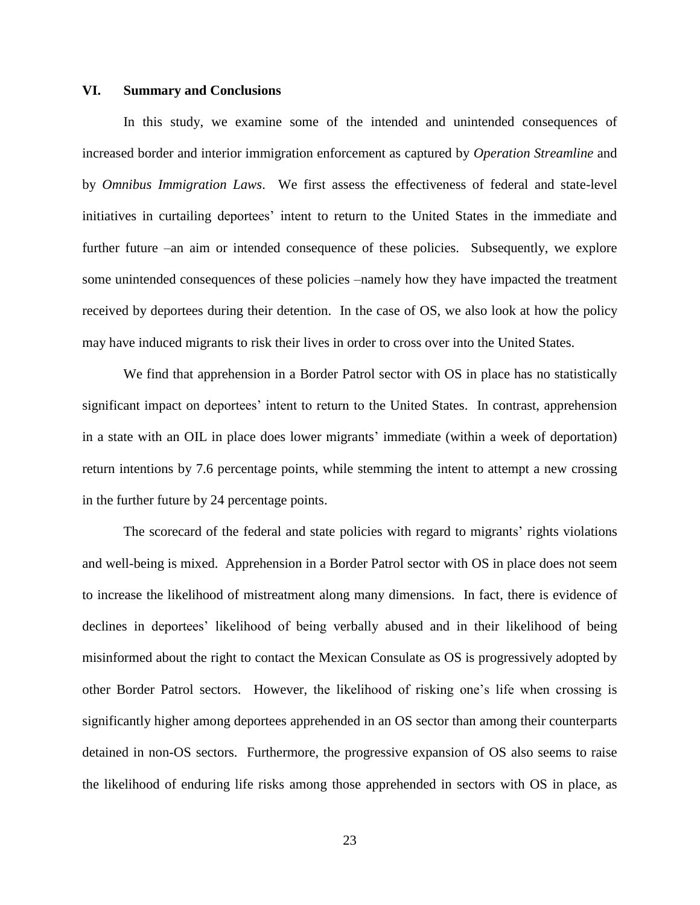# **VI. Summary and Conclusions**

In this study, we examine some of the intended and unintended consequences of increased border and interior immigration enforcement as captured by *Operation Streamline* and by *Omnibus Immigration Laws*. We first assess the effectiveness of federal and state-level initiatives in curtailing deportees' intent to return to the United States in the immediate and further future –an aim or intended consequence of these policies. Subsequently, we explore some unintended consequences of these policies –namely how they have impacted the treatment received by deportees during their detention. In the case of OS, we also look at how the policy may have induced migrants to risk their lives in order to cross over into the United States.

We find that apprehension in a Border Patrol sector with OS in place has no statistically significant impact on deportees' intent to return to the United States. In contrast, apprehension in a state with an OIL in place does lower migrants' immediate (within a week of deportation) return intentions by 7.6 percentage points, while stemming the intent to attempt a new crossing in the further future by 24 percentage points.

The scorecard of the federal and state policies with regard to migrants' rights violations and well-being is mixed. Apprehension in a Border Patrol sector with OS in place does not seem to increase the likelihood of mistreatment along many dimensions. In fact, there is evidence of declines in deportees' likelihood of being verbally abused and in their likelihood of being misinformed about the right to contact the Mexican Consulate as OS is progressively adopted by other Border Patrol sectors. However, the likelihood of risking one's life when crossing is significantly higher among deportees apprehended in an OS sector than among their counterparts detained in non-OS sectors. Furthermore, the progressive expansion of OS also seems to raise the likelihood of enduring life risks among those apprehended in sectors with OS in place, as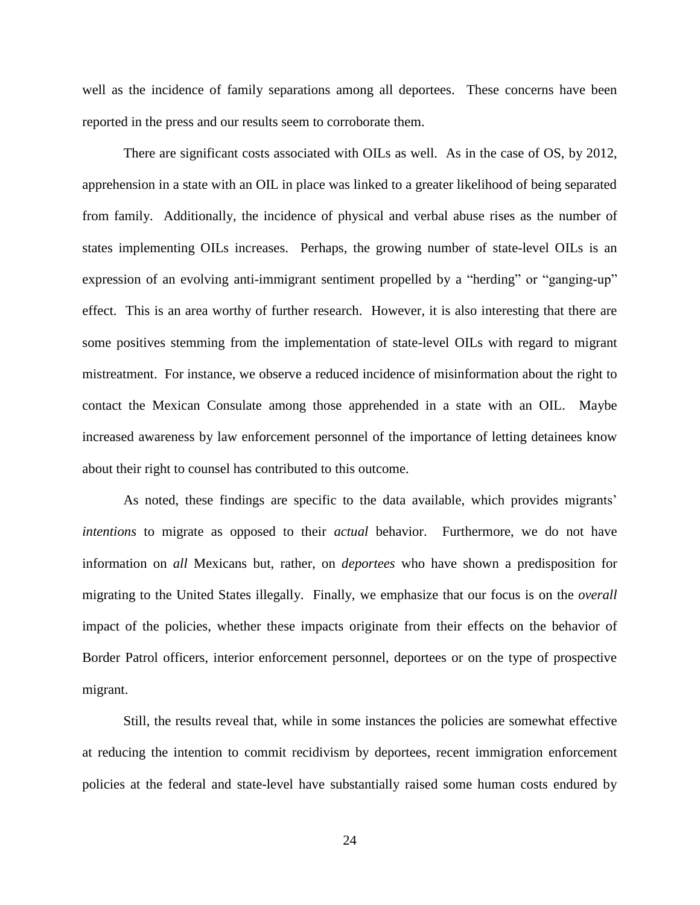well as the incidence of family separations among all deportees. These concerns have been reported in the press and our results seem to corroborate them.

There are significant costs associated with OILs as well. As in the case of OS, by 2012, apprehension in a state with an OIL in place was linked to a greater likelihood of being separated from family. Additionally, the incidence of physical and verbal abuse rises as the number of states implementing OILs increases. Perhaps, the growing number of state-level OILs is an expression of an evolving anti-immigrant sentiment propelled by a "herding" or "ganging-up" effect. This is an area worthy of further research. However, it is also interesting that there are some positives stemming from the implementation of state-level OILs with regard to migrant mistreatment. For instance, we observe a reduced incidence of misinformation about the right to contact the Mexican Consulate among those apprehended in a state with an OIL. Maybe increased awareness by law enforcement personnel of the importance of letting detainees know about their right to counsel has contributed to this outcome.

As noted, these findings are specific to the data available, which provides migrants' *intentions* to migrate as opposed to their *actual* behavior. Furthermore, we do not have information on *all* Mexicans but, rather, on *deportees* who have shown a predisposition for migrating to the United States illegally. Finally, we emphasize that our focus is on the *overall* impact of the policies, whether these impacts originate from their effects on the behavior of Border Patrol officers, interior enforcement personnel, deportees or on the type of prospective migrant.

Still, the results reveal that, while in some instances the policies are somewhat effective at reducing the intention to commit recidivism by deportees, recent immigration enforcement policies at the federal and state-level have substantially raised some human costs endured by

24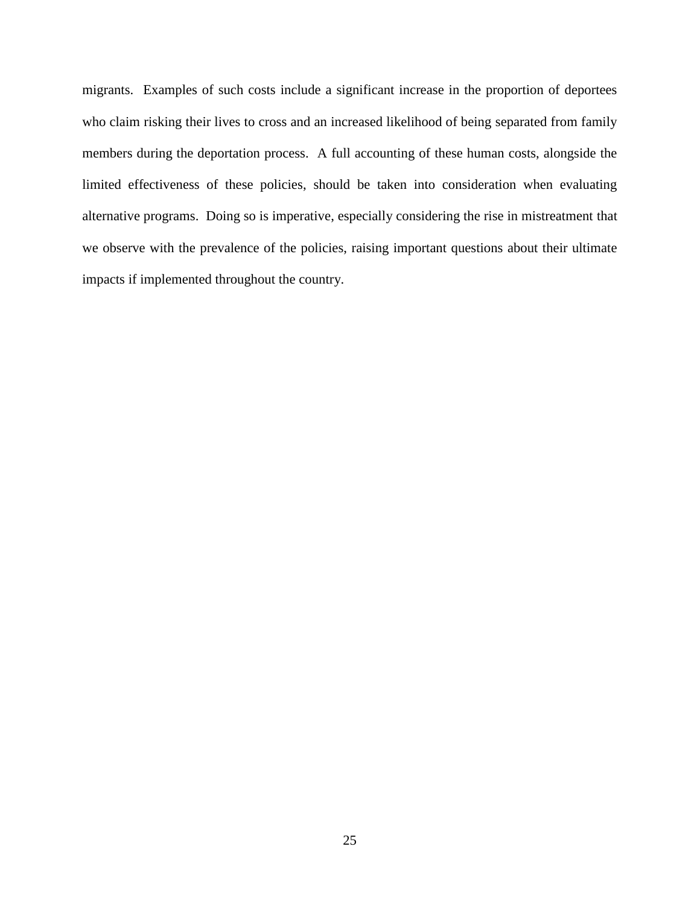migrants. Examples of such costs include a significant increase in the proportion of deportees who claim risking their lives to cross and an increased likelihood of being separated from family members during the deportation process. A full accounting of these human costs, alongside the limited effectiveness of these policies, should be taken into consideration when evaluating alternative programs. Doing so is imperative, especially considering the rise in mistreatment that we observe with the prevalence of the policies, raising important questions about their ultimate impacts if implemented throughout the country.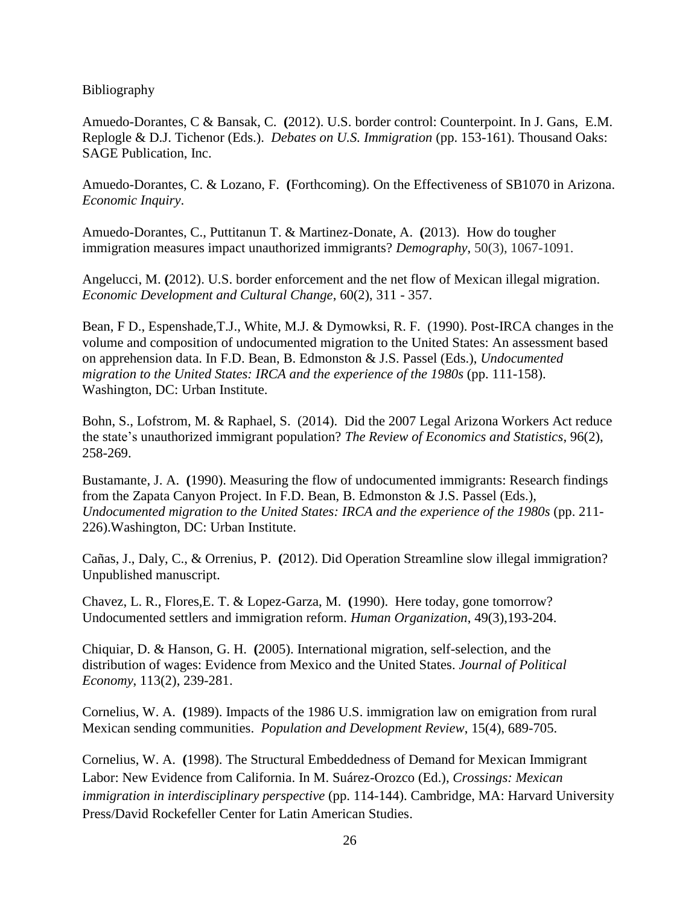Bibliography

Amuedo-Dorantes, C & Bansak, C. **(**2012). U.S. border control: Counterpoint. In J. Gans, E.M. Replogle & D.J. Tichenor (Eds.). *Debates on U.S. Immigration* (pp. 153-161). Thousand Oaks: SAGE Publication, Inc.

Amuedo-Dorantes, C. & Lozano, F. **(**Forthcoming). On the Effectiveness of SB1070 in Arizona. *Economic Inquiry*.

Amuedo-Dorantes, C., Puttitanun T. & Martinez-Donate, A. **(**2013). How do tougher immigration measures impact unauthorized immigrants? *Demography*, 50(3), 1067-1091.

Angelucci, M. **(**2012). U.S. border enforcement and the net flow of Mexican illegal migration. *[Economic Development and Cultural Change](http://econpapers.repec.org/article/ucpecdecc/)*, 60(2), 311 - 357.

Bean, F D., Espenshade,T.J., White, M.J. & Dymowksi, R. F. (1990). Post-IRCA changes in the volume and composition of undocumented migration to the United States: An assessment based on apprehension data. In F.D. Bean, B. Edmonston & J.S. Passel (Eds.), *Undocumented migration to the United States: IRCA and the experience of the 1980s* (pp. 111-158). Washington, DC: Urban Institute.

Bohn, S., Lofstrom, M. & Raphael, S. (2014). Did the 2007 Legal Arizona Workers Act reduce the state's unauthorized immigrant population? *The Review of Economics and Statistics*, 96(2), 258-269.

Bustamante, J. A. **(**1990). Measuring the flow of undocumented immigrants: Research findings from the Zapata Canyon Project. In F.D. Bean, B. Edmonston & J.S. Passel (Eds.), *Undocumented migration to the United States: IRCA and the experience of the 1980s* (pp. 211- 226).Washington, DC: Urban Institute.

Cañas, J., Daly, C., & Orrenius, P. **(**2012). Did Operation Streamline slow illegal immigration? Unpublished manuscript.

Chavez, L. R., Flores,E. T. & Lopez-Garza, M. **(**1990). Here today, gone tomorrow? Undocumented settlers and immigration reform. *Human Organization*, 49(3),193-204.

Chiquiar, D. & Hanson, G. H. **(**2005). International migration, self-selection, and the distribution of wages: Evidence from Mexico and the United States. *Journal of Political Economy*, 113(2), 239-281.

Cornelius, W. A. **(**1989). Impacts of the 1986 U.S. immigration law on emigration from rural Mexican sending communities. *Population and Development Review*, 15(4), 689-705.

Cornelius, W. A. **(**1998). The Structural Embeddedness of Demand for Mexican Immigrant Labor: New Evidence from California. In M. Suárez-Orozco (Ed.), *Crossings: Mexican immigration in interdisciplinary perspective* (pp. 114-144). Cambridge, MA: Harvard University Press/David Rockefeller Center for Latin American Studies.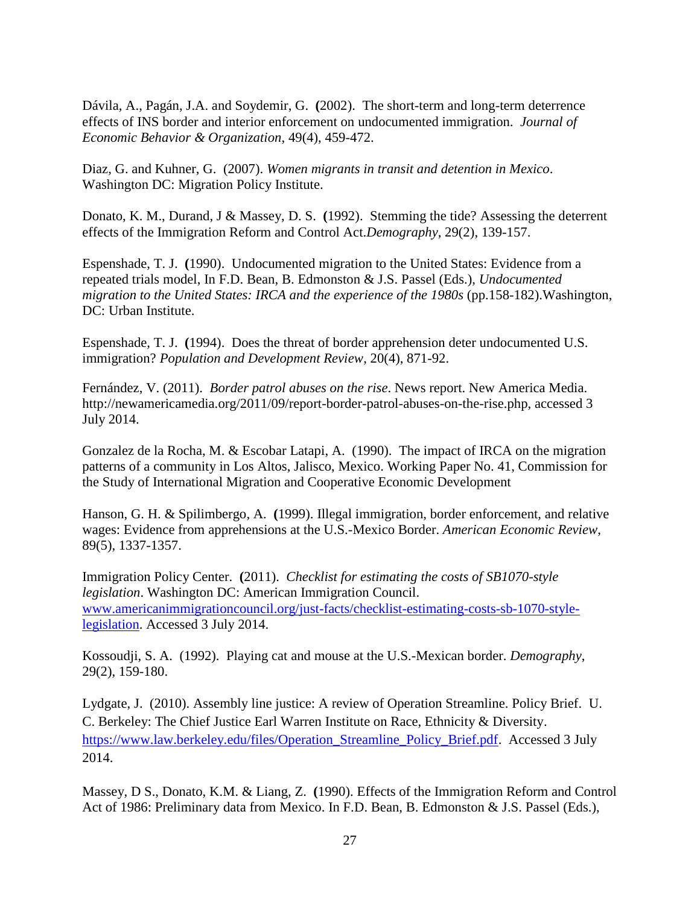Dávila, A., Pagán, J.A. and Soydemir, G. **(**2002). The short-term and long-term deterrence effects of INS border and interior enforcement on undocumented immigration. *Journal of Economic Behavior & Organization*, 49(4), 459-472.

Diaz, G. and Kuhner, G. (2007). *Women migrants in transit and detention in Mexico*. Washington DC: Migration Policy Institute.

Donato, K. M., Durand, J & Massey, D. S. **(**1992). Stemming the tide? Assessing the deterrent effects of the Immigration Reform and Control Act.*Demography*, 29(2), 139-157.

Espenshade, T. J. **(**1990). Undocumented migration to the United States: Evidence from a repeated trials model, In F.D. Bean, B. Edmonston & J.S. Passel (Eds.), *Undocumented migration to the United States: IRCA and the experience of the 1980s* (pp.158-182).Washington, DC: Urban Institute.

Espenshade, T. J. **(**1994). Does the threat of border apprehension deter undocumented U.S. immigration? *Population and Development Review*, 20(4), 871-92.

Fernández, V. (2011). *Border patrol abuses on the rise*. News report. New America Media. [http://newamericamedia.org/2011/09/report-border-patrol-abuses-on-the-rise.php,](http://newamericamedia.org/2011/09/report-border-patrol-abuses-on-the-rise.php) accessed 3 July 2014.

Gonzalez de la Rocha, M. & Escobar Latapi, A. (1990). The impact of IRCA on the migration patterns of a community in Los Altos, Jalisco, Mexico. Working Paper No. 41, Commission for the Study of International Migration and Cooperative Economic Development

Hanson, G. H. & Spilimbergo, A. **(**1999). Illegal immigration, border enforcement, and relative wages: Evidence from apprehensions at the U.S.-Mexico Border. *American Economic Review*, 89(5), 1337-1357.

Immigration Policy Center. **(**2011). *Checklist for estimating the costs of SB1070-style legislation*. Washington DC: American Immigration Council. [www.americanimmigrationcouncil.org/just-facts/checklist-estimating-costs-sb-1070-style](http://www.americanimmigrationcouncil.org/just-facts/checklist-estimating-costs-sb-1070-style-legislation)[legislation.](http://www.americanimmigrationcouncil.org/just-facts/checklist-estimating-costs-sb-1070-style-legislation) Accessed 3 July 2014.

Kossoudji, S. A. (1992). [Playing cat and mouse at the U.S.-Mexican border.](http://web6.epnet.com.libproxy.sdsu.edu/citation.asp?tb=1&_ug=sid+87269924%2D54B6%2D4042%2D9C40%2D81EF66CB18B7%40sessionmgr6+dbs+ecn+46EB&_us=sel+False+sl+%2D1+hd+False+hs+False+or+Date+fh+False+ss+SO+sm+ES+mdbs+ecn+ri+KAAACB1A00037918+dstb+ES+mh+1+frn+1+12C1&_uso=hd+False+tg%5B2+%2D+tg%5B1+%2D+tg%5B0+%2DAU+st%5B2+%2D+st%5B1+%2DCAT++AND++MOUSE+st%5B0+%2DkOSSOUDJI+db%5B0+%2Decn+op%5B2+%2DAnd+op%5B1+%2DAnd+op%5B0+%2D+CE1A&fn=1&rn=2) *Demography*, 29(2), 159-180.

Lydgate, J. (2010). Assembly line justice: A review of Operation Streamline. Policy Brief. U. C. Berkeley: The Chief Justice Earl Warren Institute on Race, Ethnicity & Diversity. [https://www.law.berkeley.edu/files/Operation\\_Streamline\\_Policy\\_Brief.pdf.](https://www.law.berkeley.edu/files/Operation_Streamline_Policy_Brief.pdf) Accessed 3 July 2014.

Massey, D S., Donato, K.M. & Liang, Z. **(**1990). Effects of the Immigration Reform and Control Act of 1986: Preliminary data from Mexico. In F.D. Bean, B. Edmonston & J.S. Passel (Eds.),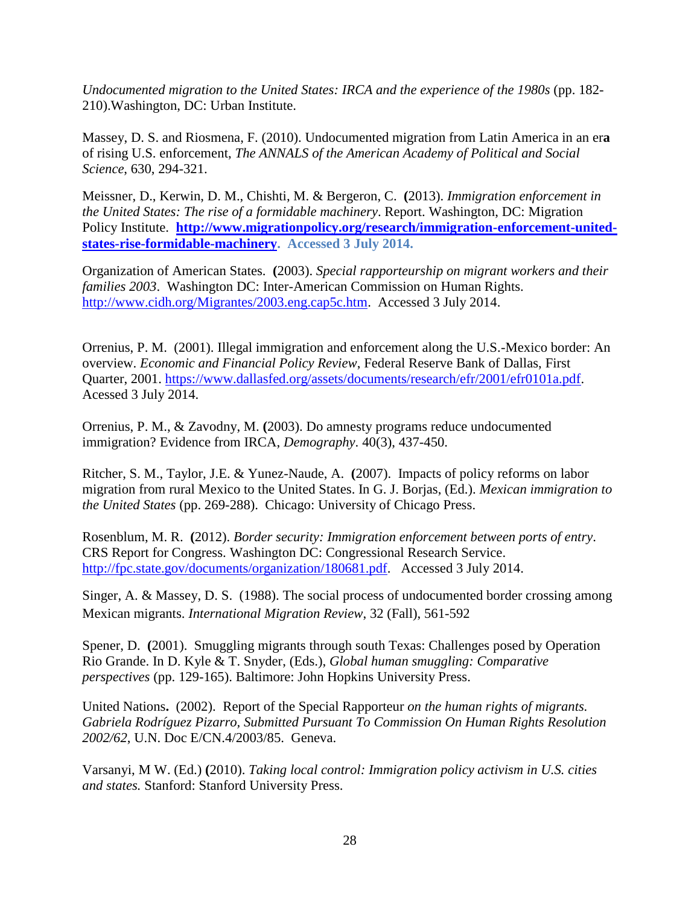*Undocumented migration to the United States: IRCA and the experience of the 1980s* (pp. 182- 210).Washington, DC: Urban Institute.

[Massey, D.](http://search.proquest.com/econlit/indexinglinkhandler/sng/au/Massey,+Douglas+S/$N?accountid=15099) S. and [Riosmena, F.](http://search.proquest.com/econlit/indexinglinkhandler/sng/au/Riosmena,+Fernando/$N?accountid=15099) (2010). Undocumented migration from Latin America in an er**a**  of rising U.S. enforcement, *The ANNALS [of the American Academy of Political and Social](http://search.proquest.com/econlit/pubidlinkhandler/sng/pubtitle/Annals+of+the+American+Academy+of+Political+and+Social+Science/$N?accountid=15099)  [Science](http://search.proquest.com/econlit/pubidlinkhandler/sng/pubtitle/Annals+of+the+American+Academy+of+Political+and+Social+Science/$N?accountid=15099)*, 630, 294-321.

Meissner, D., Kerwin, D. M., Chishti, M. & Bergeron, C. **(**2013). *Immigration enforcement in the United States: The rise of a formidable machinery*. Report. Washington, DC: Migration Policy Institute. **[http://www.migrationpolicy.org/research/immigration-enforcement-united](http://www.migrationpolicy.org/research/immigration-enforcement-united-states-rise-formidable-machinery)[states-rise-formidable-machinery.](http://www.migrationpolicy.org/research/immigration-enforcement-united-states-rise-formidable-machinery) Accessed 3 July 2014.**

Organization of American States. **(**2003). *Special rapporteurship on migrant workers and their families 2003*. Washington DC: Inter-American Commission on Human Rights. [http://www.cidh.org/Migrantes/2003.eng.cap5c.htm.](http://www.cidh.org/Migrantes/2003.eng.cap5c.htm) Accessed 3 July 2014.

Orrenius, P. M. (2001). [Illegal immigration and enforcement along the U.S.-Mexico border:](http://ideas.repec.org/a/fip/fedder/y2001iqip2-11.html) An [overview.](http://ideas.repec.org/a/fip/fedder/y2001iqip2-11.html) *[Economic and Financial Policy Review](http://ideas.repec.org/s/fip/fedder.html)*, Federal Reserve Bank of Dallas, First Quarter, 2001. [https://www.dallasfed.org/assets/documents/research/efr/2001/efr0101a.pdf.](https://www.dallasfed.org/assets/documents/research/efr/2001/efr0101a.pdf) Acessed 3 July 2014.

Orrenius, P. M., & Zavodny, M. **(**2003). Do amnesty programs reduce undocumented immigration? Evidence from IRCA, *Demography*. 40(3), 437-450.

Ritcher, S. M., Taylor, J.E. & Yunez-Naude, A. **(**2007). Impacts of policy reforms on labor migration from rural Mexico to the United States. In G. J. Borjas, (Ed.). *Mexican immigration to the United States* (pp. 269-288). Chicago: University of Chicago Press.

Rosenblum, M. R. **(**2012). *Border security: Immigration enforcement between ports of entry*. CRS Report for Congress. Washington DC: Congressional Research Service. [http://fpc.state.gov/documents/organization/180681.pdf.](http://fpc.state.gov/documents/organization/180681.pdf) Accessed 3 July 2014.

Singer, A. & Massey, D. S. (1988). The social process of undocumented border crossing among Mexican migrants. *International Migration Review*, 32 (Fall), 561-592

Spener, D. **(**2001). Smuggling migrants through south Texas: Challenges posed by Operation Rio Grande. In D. Kyle & T. Snyder, (Eds.), *Global human smuggling: Comparative perspectives* (pp. 129-165). Baltimore: John Hopkins University Press.

United Nations**.** (2002). Report of the Special Rapporteur *on the human rights of migrants. Gabriela Rodríguez Pizarro, Submitted Pursuant To Commission On Human Rights Resolution 2002/62*, U.N. Doc E/CN.4/2003/85. Geneva.

Varsanyi, M W. (Ed.) **(**2010). *Taking local control: Immigration policy activism in U.S. cities and states.* Stanford: Stanford University Press.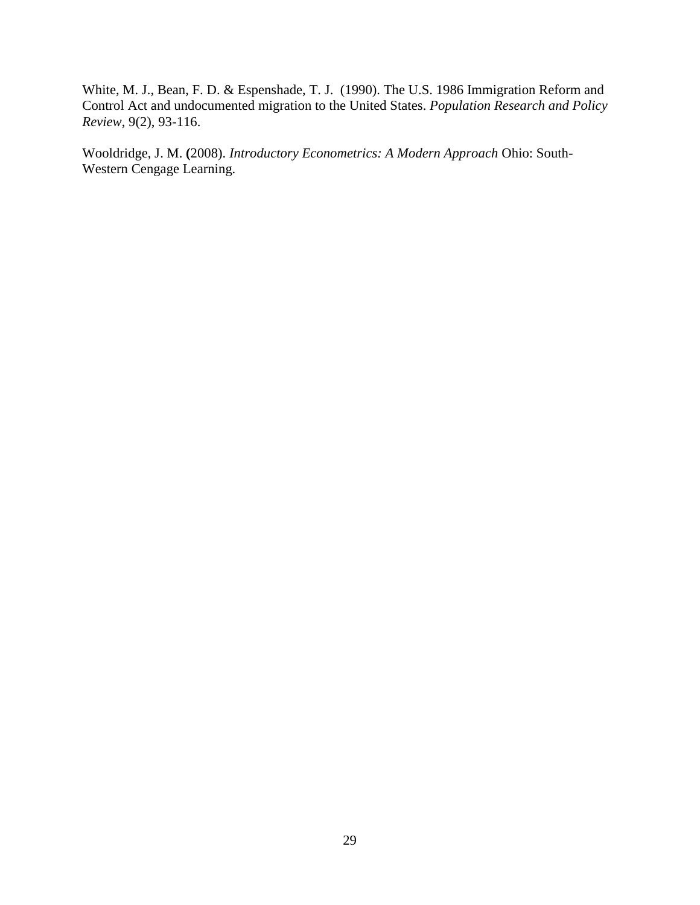White, M. J., Bean, F. D. & Espenshade, T. J. (1990). The U.S. 1986 Immigration Reform and Control Act and undocumented migration to the United States. *Population Research and Policy Review*, 9(2), 93-116.

Wooldridge, J. M. **(**2008). *Introductory Econometrics: A Modern Approach* Ohio: South-Western Cengage Learning.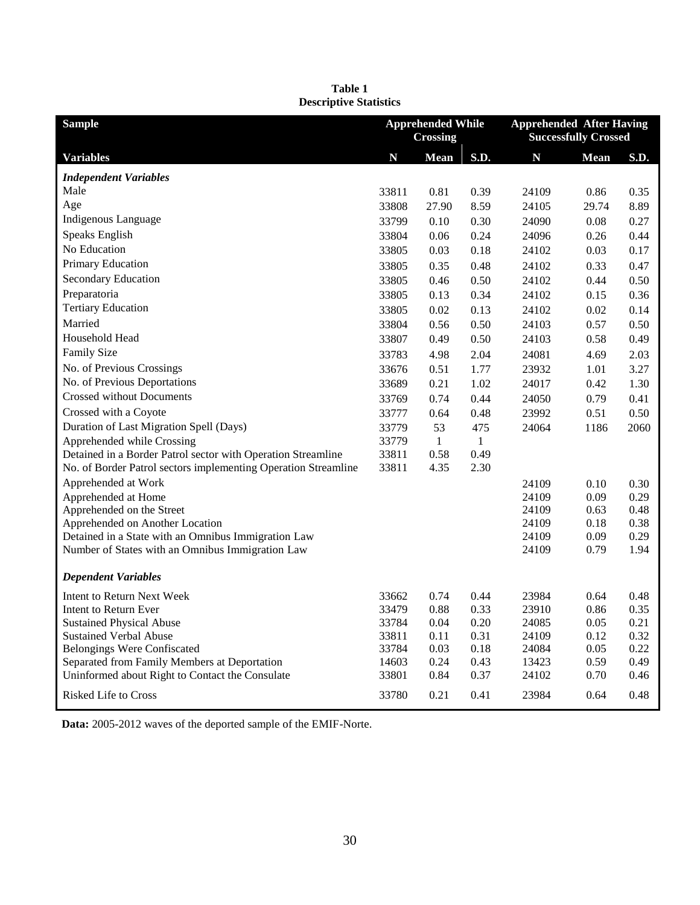| <b>Sample</b>                                                                          | <b>Apprehended While</b><br><b>Crossing</b> |              |              | <b>Apprehended After Having</b><br><b>Successfully Crossed</b> |              |              |
|----------------------------------------------------------------------------------------|---------------------------------------------|--------------|--------------|----------------------------------------------------------------|--------------|--------------|
| <b>Variables</b>                                                                       | N                                           | <b>Mean</b>  | S.D.         | N                                                              | <b>Mean</b>  | S.D.         |
| <b>Independent Variables</b>                                                           |                                             |              |              |                                                                |              |              |
| Male                                                                                   | 33811                                       | 0.81         | 0.39         | 24109                                                          | 0.86         | 0.35         |
| Age                                                                                    | 33808                                       | 27.90        | 8.59         | 24105                                                          | 29.74        | 8.89         |
| Indigenous Language                                                                    | 33799                                       | 0.10         | 0.30         | 24090                                                          | 0.08         | 0.27         |
| Speaks English                                                                         | 33804                                       | 0.06         | 0.24         | 24096                                                          | 0.26         | 0.44         |
| No Education                                                                           | 33805                                       | 0.03         | 0.18         | 24102                                                          | 0.03         | 0.17         |
| Primary Education                                                                      | 33805                                       | 0.35         | 0.48         | 24102                                                          | 0.33         | 0.47         |
| Secondary Education                                                                    | 33805                                       | 0.46         | 0.50         | 24102                                                          | 0.44         | 0.50         |
| Preparatoria                                                                           | 33805                                       | 0.13         | 0.34         | 24102                                                          | 0.15         | 0.36         |
| <b>Tertiary Education</b>                                                              | 33805                                       | 0.02         | 0.13         | 24102                                                          | 0.02         | 0.14         |
| Married                                                                                | 33804                                       | 0.56         | 0.50         | 24103                                                          | 0.57         | 0.50         |
| Household Head                                                                         | 33807                                       | 0.49         | 0.50         | 24103                                                          | 0.58         | 0.49         |
| <b>Family Size</b>                                                                     | 33783                                       | 4.98         | 2.04         | 24081                                                          | 4.69         | 2.03         |
| No. of Previous Crossings                                                              | 33676                                       | 0.51         | 1.77         | 23932                                                          | 1.01         | 3.27         |
| No. of Previous Deportations                                                           | 33689                                       | 0.21         | 1.02         | 24017                                                          | 0.42         | 1.30         |
| <b>Crossed without Documents</b>                                                       | 33769                                       | 0.74         | 0.44         | 24050                                                          | 0.79         | 0.41         |
| Crossed with a Coyote                                                                  | 33777                                       | 0.64         | 0.48         | 23992                                                          | 0.51         | 0.50         |
| Duration of Last Migration Spell (Days)                                                | 33779                                       | 53           | 475          | 24064                                                          | 1186         | 2060         |
| Apprehended while Crossing                                                             | 33779                                       | $\mathbf{1}$ | $\mathbf{1}$ |                                                                |              |              |
| Detained in a Border Patrol sector with Operation Streamline                           | 33811                                       | 0.58         | 0.49         |                                                                |              |              |
| No. of Border Patrol sectors implementing Operation Streamline                         | 33811                                       | 4.35         | 2.30         |                                                                |              |              |
| Apprehended at Work                                                                    |                                             |              |              | 24109                                                          | 0.10         | 0.30         |
| Apprehended at Home                                                                    |                                             |              |              | 24109                                                          | 0.09         | 0.29         |
| Apprehended on the Street                                                              |                                             |              |              | 24109                                                          | 0.63         | 0.48         |
| Apprehended on Another Location<br>Detained in a State with an Omnibus Immigration Law |                                             |              |              | 24109<br>24109                                                 | 0.18<br>0.09 | 0.38<br>0.29 |
| Number of States with an Omnibus Immigration Law                                       |                                             |              |              | 24109                                                          | 0.79         | 1.94         |
|                                                                                        |                                             |              |              |                                                                |              |              |
| <b>Dependent Variables</b>                                                             |                                             |              |              |                                                                |              |              |
| <b>Intent to Return Next Week</b>                                                      | 33662                                       | 0.74         | 0.44         | 23984                                                          | 0.64         | 0.48         |
| Intent to Return Ever                                                                  | 33479                                       | 0.88         | 0.33         | 23910                                                          | 0.86         | 0.35         |
| <b>Sustained Physical Abuse</b>                                                        | 33784                                       | 0.04         | 0.20         | 24085                                                          | 0.05         | 0.21         |
| <b>Sustained Verbal Abuse</b>                                                          | 33811                                       | 0.11         | 0.31         | 24109                                                          | 0.12         | 0.32         |
| <b>Belongings Were Confiscated</b><br>Separated from Family Members at Deportation     | 33784<br>14603                              | 0.03<br>0.24 | 0.18<br>0.43 | 24084<br>13423                                                 | 0.05<br>0.59 | 0.22<br>0.49 |
| Uninformed about Right to Contact the Consulate                                        | 33801                                       | 0.84         | 0.37         | 24102                                                          | 0.70         | 0.46         |
|                                                                                        |                                             |              |              |                                                                |              |              |
| Risked Life to Cross                                                                   | 33780                                       | 0.21         | 0.41         | 23984                                                          | 0.64         | 0.48         |

**Table 1 Descriptive Statistics**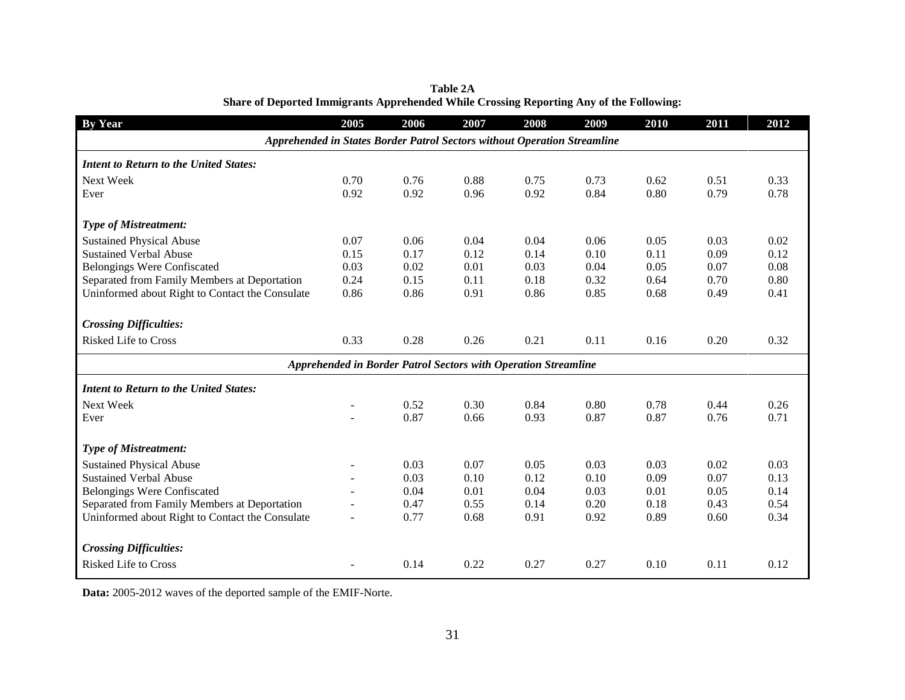| <b>By Year</b>                                                           | 2005                     | 2006                                                           | 2007 | 2008 | 2009 | 2010 | 2011 | 2012 |
|--------------------------------------------------------------------------|--------------------------|----------------------------------------------------------------|------|------|------|------|------|------|
| Apprehended in States Border Patrol Sectors without Operation Streamline |                          |                                                                |      |      |      |      |      |      |
| <b>Intent to Return to the United States:</b>                            |                          |                                                                |      |      |      |      |      |      |
| Next Week                                                                | 0.70                     | 0.76                                                           | 0.88 | 0.75 | 0.73 | 0.62 | 0.51 | 0.33 |
| Ever                                                                     | 0.92                     | 0.92                                                           | 0.96 | 0.92 | 0.84 | 0.80 | 0.79 | 0.78 |
| <b>Type of Mistreatment:</b>                                             |                          |                                                                |      |      |      |      |      |      |
| <b>Sustained Physical Abuse</b>                                          | 0.07                     | 0.06                                                           | 0.04 | 0.04 | 0.06 | 0.05 | 0.03 | 0.02 |
| <b>Sustained Verbal Abuse</b>                                            | 0.15                     | 0.17                                                           | 0.12 | 0.14 | 0.10 | 0.11 | 0.09 | 0.12 |
| <b>Belongings Were Confiscated</b>                                       | 0.03                     | 0.02                                                           | 0.01 | 0.03 | 0.04 | 0.05 | 0.07 | 0.08 |
| Separated from Family Members at Deportation                             | 0.24                     | 0.15                                                           | 0.11 | 0.18 | 0.32 | 0.64 | 0.70 | 0.80 |
| Uninformed about Right to Contact the Consulate                          | 0.86                     | 0.86                                                           | 0.91 | 0.86 | 0.85 | 0.68 | 0.49 | 0.41 |
| <b>Crossing Difficulties:</b>                                            |                          |                                                                |      |      |      |      |      |      |
| <b>Risked Life to Cross</b>                                              | 0.33                     | 0.28                                                           | 0.26 | 0.21 | 0.11 | 0.16 | 0.20 | 0.32 |
|                                                                          |                          | Apprehended in Border Patrol Sectors with Operation Streamline |      |      |      |      |      |      |
| <b>Intent to Return to the United States:</b>                            |                          |                                                                |      |      |      |      |      |      |
| Next Week                                                                |                          | 0.52                                                           | 0.30 | 0.84 | 0.80 | 0.78 | 0.44 | 0.26 |
| Ever                                                                     |                          | 0.87                                                           | 0.66 | 0.93 | 0.87 | 0.87 | 0.76 | 0.71 |
| <b>Type of Mistreatment:</b>                                             |                          |                                                                |      |      |      |      |      |      |
| <b>Sustained Physical Abuse</b>                                          | $\overline{\phantom{0}}$ | 0.03                                                           | 0.07 | 0.05 | 0.03 | 0.03 | 0.02 | 0.03 |
| <b>Sustained Verbal Abuse</b>                                            |                          | 0.03                                                           | 0.10 | 0.12 | 0.10 | 0.09 | 0.07 | 0.13 |
| <b>Belongings Were Confiscated</b>                                       |                          | 0.04                                                           | 0.01 | 0.04 | 0.03 | 0.01 | 0.05 | 0.14 |
| Separated from Family Members at Deportation                             |                          | 0.47                                                           | 0.55 | 0.14 | 0.20 | 0.18 | 0.43 | 0.54 |
| Uninformed about Right to Contact the Consulate                          |                          | 0.77                                                           | 0.68 | 0.91 | 0.92 | 0.89 | 0.60 | 0.34 |
|                                                                          |                          |                                                                |      |      |      |      |      |      |
| <b>Crossing Difficulties:</b>                                            |                          |                                                                |      |      |      |      |      |      |
| <b>Risked Life to Cross</b>                                              |                          | 0.14                                                           | 0.22 | 0.27 | 0.27 | 0.10 | 0.11 | 0.12 |

**Table 2A Share of Deported Immigrants Apprehended While Crossing Reporting Any of the Following:**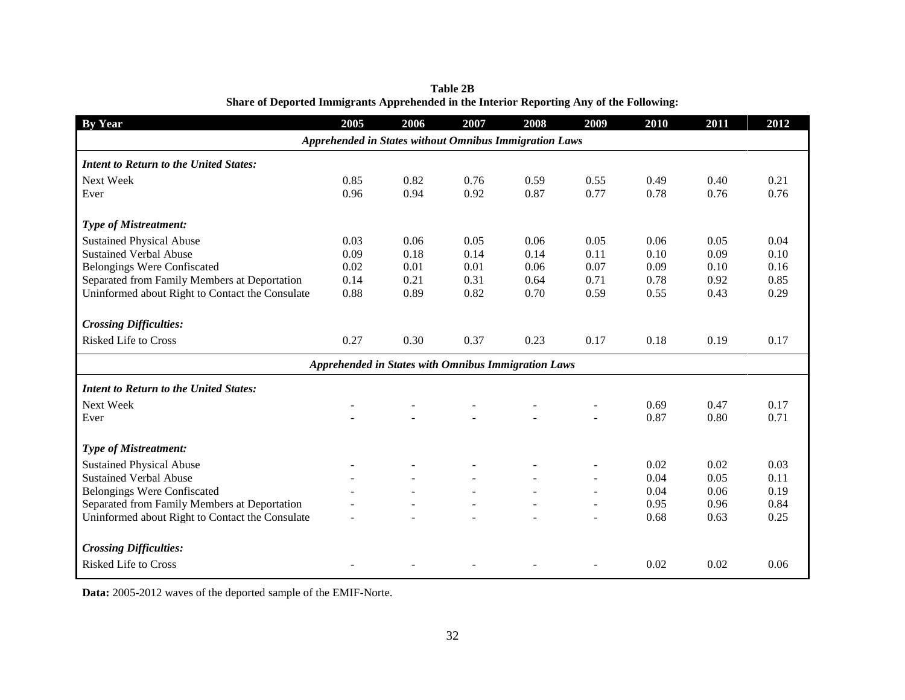| <b>By Year</b>                                  | 2005                                                          | 2006 | 2007 | 2008 | 2009 | 2010 | 2011 | 2012 |
|-------------------------------------------------|---------------------------------------------------------------|------|------|------|------|------|------|------|
|                                                 | <b>Apprehended in States without Omnibus Immigration Laws</b> |      |      |      |      |      |      |      |
| <b>Intent to Return to the United States:</b>   |                                                               |      |      |      |      |      |      |      |
| Next Week                                       | 0.85                                                          | 0.82 | 0.76 | 0.59 | 0.55 | 0.49 | 0.40 | 0.21 |
| Ever                                            | 0.96                                                          | 0.94 | 0.92 | 0.87 | 0.77 | 0.78 | 0.76 | 0.76 |
| <b>Type of Mistreatment:</b>                    |                                                               |      |      |      |      |      |      |      |
| <b>Sustained Physical Abuse</b>                 | 0.03                                                          | 0.06 | 0.05 | 0.06 | 0.05 | 0.06 | 0.05 | 0.04 |
| <b>Sustained Verbal Abuse</b>                   | 0.09                                                          | 0.18 | 0.14 | 0.14 | 0.11 | 0.10 | 0.09 | 0.10 |
| <b>Belongings Were Confiscated</b>              | 0.02                                                          | 0.01 | 0.01 | 0.06 | 0.07 | 0.09 | 0.10 | 0.16 |
| Separated from Family Members at Deportation    | 0.14                                                          | 0.21 | 0.31 | 0.64 | 0.71 | 0.78 | 0.92 | 0.85 |
| Uninformed about Right to Contact the Consulate | 0.88                                                          | 0.89 | 0.82 | 0.70 | 0.59 | 0.55 | 0.43 | 0.29 |
| <b>Crossing Difficulties:</b>                   |                                                               |      |      |      |      |      |      |      |
| <b>Risked Life to Cross</b>                     | 0.27                                                          | 0.30 | 0.37 | 0.23 | 0.17 | 0.18 | 0.19 | 0.17 |
|                                                 | <b>Apprehended in States with Omnibus Immigration Laws</b>    |      |      |      |      |      |      |      |
| <b>Intent to Return to the United States:</b>   |                                                               |      |      |      |      |      |      |      |
| Next Week                                       |                                                               |      |      |      |      | 0.69 | 0.47 | 0.17 |
| Ever                                            |                                                               |      |      |      |      | 0.87 | 0.80 | 0.71 |
| <b>Type of Mistreatment:</b>                    |                                                               |      |      |      |      |      |      |      |
| <b>Sustained Physical Abuse</b>                 |                                                               |      |      |      |      | 0.02 | 0.02 | 0.03 |
| <b>Sustained Verbal Abuse</b>                   |                                                               |      |      |      |      | 0.04 | 0.05 | 0.11 |
| <b>Belongings Were Confiscated</b>              |                                                               |      |      |      |      | 0.04 | 0.06 | 0.19 |
| Separated from Family Members at Deportation    |                                                               |      |      |      |      | 0.95 | 0.96 | 0.84 |
| Uninformed about Right to Contact the Consulate |                                                               |      |      |      |      | 0.68 | 0.63 | 0.25 |
| <b>Crossing Difficulties:</b>                   |                                                               |      |      |      |      |      |      |      |
| <b>Risked Life to Cross</b>                     |                                                               |      |      |      |      | 0.02 | 0.02 | 0.06 |

**Table 2B Share of Deported Immigrants Apprehended in the Interior Reporting Any of the Following:**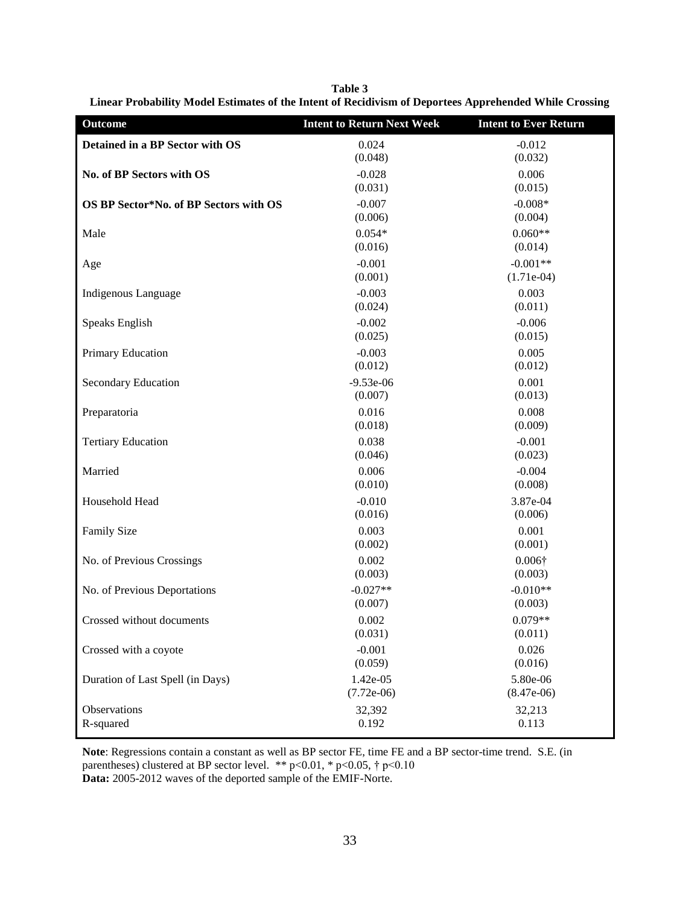**Table 3 Linear Probability Model Estimates of the Intent of Recidivism of Deportees Apprehended While Crossing**

| <b>Outcome</b>                         | <b>Intent to Return Next Week</b> | <b>Intent to Ever Return</b> |
|----------------------------------------|-----------------------------------|------------------------------|
| Detained in a BP Sector with OS        | 0.024<br>(0.048)                  | $-0.012$<br>(0.032)          |
| No. of BP Sectors with OS              | $-0.028$<br>(0.031)               | 0.006<br>(0.015)             |
| OS BP Sector*No. of BP Sectors with OS | $-0.007$<br>(0.006)               | $-0.008*$<br>(0.004)         |
| Male                                   | $0.054*$<br>(0.016)               | $0.060**$<br>(0.014)         |
| Age                                    | $-0.001$<br>(0.001)               | $-0.001**$<br>$(1.71e-04)$   |
| Indigenous Language                    | $-0.003$<br>(0.024)               | 0.003<br>(0.011)             |
| Speaks English                         | $-0.002$<br>(0.025)               | $-0.006$<br>(0.015)          |
| Primary Education                      | $-0.003$<br>(0.012)               | 0.005<br>(0.012)             |
| Secondary Education                    | $-9.53e-06$<br>(0.007)            | 0.001<br>(0.013)             |
| Preparatoria                           | 0.016<br>(0.018)                  | 0.008<br>(0.009)             |
| <b>Tertiary Education</b>              | 0.038<br>(0.046)                  | $-0.001$<br>(0.023)          |
| Married                                | 0.006<br>(0.010)                  | $-0.004$<br>(0.008)          |
| Household Head                         | $-0.010$<br>(0.016)               | 3.87e-04<br>(0.006)          |
| <b>Family Size</b>                     | 0.003<br>(0.002)                  | 0.001<br>(0.001)             |
| No. of Previous Crossings              | 0.002<br>(0.003)                  | $0.006\dagger$<br>(0.003)    |
| No. of Previous Deportations           | $-0.027**$<br>(0.007)             | $-0.010**$<br>(0.003)        |
| Crossed without documents              | 0.002<br>(0.031)                  | $0.079**$<br>(0.011)         |
| Crossed with a coyote                  | $-0.001$<br>(0.059)               | 0.026<br>(0.016)             |
| Duration of Last Spell (in Days)       | 1.42e-05<br>$(7.72e-06)$          | 5.80e-06<br>$(8.47e-06)$     |
| Observations<br>R-squared              | 32,392<br>0.192                   | 32,213<br>0.113              |

**Note**: Regressions contain a constant as well as BP sector FE, time FE and a BP sector-time trend. S.E. (in parentheses) clustered at BP sector level. \*\* p<0.01, \* p<0.05,  $\dagger$  p<0.10 **Data:** 2005-2012 waves of the deported sample of the EMIF-Norte.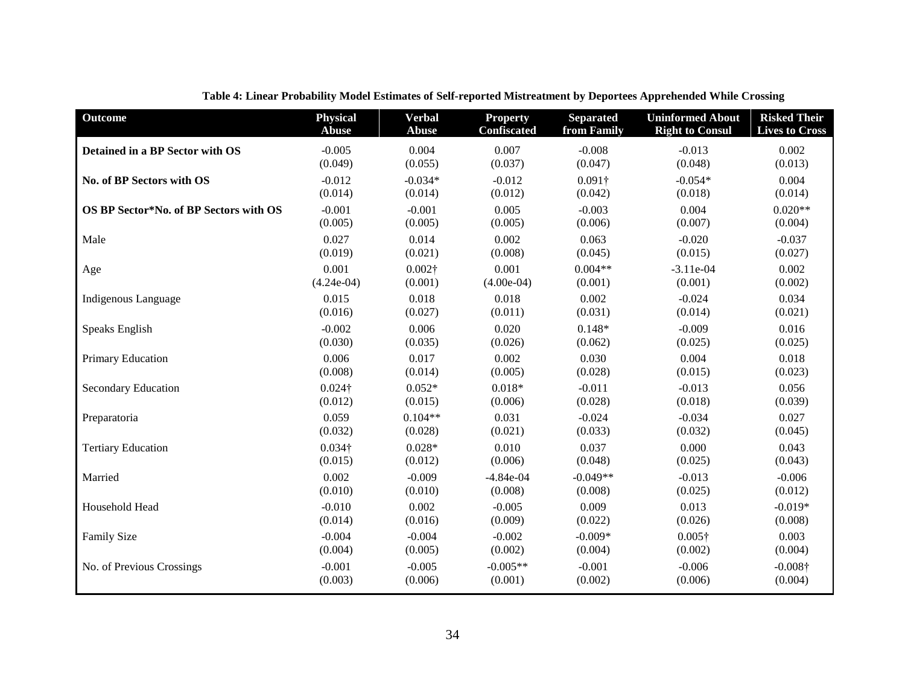| <b>Outcome</b>                         | <b>Physical</b> | <b>Verbal</b>  | <b>Property</b>    | <b>Separated</b> | <b>Uninformed About</b> | <b>Risked Their</b>   |
|----------------------------------------|-----------------|----------------|--------------------|------------------|-------------------------|-----------------------|
|                                        | <b>Abuse</b>    | <b>Abuse</b>   | <b>Confiscated</b> | from Family      | <b>Right to Consul</b>  | <b>Lives to Cross</b> |
| Detained in a BP Sector with OS        | $-0.005$        | 0.004          | 0.007              | $-0.008$         | $-0.013$                | 0.002                 |
|                                        | (0.049)         | (0.055)        | (0.037)            | (0.047)          | (0.048)                 | (0.013)               |
| No. of BP Sectors with OS              | $-0.012$        | $-0.034*$      | $-0.012$           | $0.091\dagger$   | $-0.054*$               | 0.004                 |
|                                        | (0.014)         | (0.014)        | (0.012)            | (0.042)          | (0.018)                 | (0.014)               |
| OS BP Sector*No. of BP Sectors with OS | $-0.001$        | $-0.001$       | 0.005              | $-0.003$         | 0.004                   | $0.020**$             |
|                                        | (0.005)         | (0.005)        | (0.005)            | (0.006)          | (0.007)                 | (0.004)               |
| Male                                   | 0.027           | 0.014          | 0.002              | 0.063            | $-0.020$                | $-0.037$              |
|                                        | (0.019)         | (0.021)        | (0.008)            | (0.045)          | (0.015)                 | (0.027)               |
| Age                                    | 0.001           | $0.002\dagger$ | 0.001              | $0.004**$        | $-3.11e-04$             | 0.002                 |
|                                        | $(4.24e-04)$    | (0.001)        | $(4.00e-04)$       | (0.001)          | (0.001)                 | (0.002)               |
| Indigenous Language                    | 0.015           | 0.018          | 0.018              | 0.002            | $-0.024$                | 0.034                 |
|                                        | (0.016)         | (0.027)        | (0.011)            | (0.031)          | (0.014)                 | (0.021)               |
| Speaks English                         | $-0.002$        | 0.006          | 0.020              | $0.148*$         | $-0.009$                | 0.016                 |
|                                        | (0.030)         | (0.035)        | (0.026)            | (0.062)          | (0.025)                 | (0.025)               |
| Primary Education                      | 0.006           | 0.017          | 0.002              | 0.030            | 0.004                   | 0.018                 |
|                                        | (0.008)         | (0.014)        | (0.005)            | (0.028)          | (0.015)                 | (0.023)               |
| <b>Secondary Education</b>             | $0.024\dagger$  | $0.052*$       | $0.018*$           | $-0.011$         | $-0.013$                | 0.056                 |
|                                        | (0.012)         | (0.015)        | (0.006)            | (0.028)          | (0.018)                 | (0.039)               |
| Preparatoria                           | 0.059           | $0.104**$      | 0.031              | $-0.024$         | $-0.034$                | 0.027                 |
|                                        | (0.032)         | (0.028)        | (0.021)            | (0.033)          | (0.032)                 | (0.045)               |
| <b>Tertiary Education</b>              | $0.034\dagger$  | $0.028*$       | 0.010              | 0.037            | 0.000                   | 0.043                 |
|                                        | (0.015)         | (0.012)        | (0.006)            | (0.048)          | (0.025)                 | (0.043)               |
| Married                                | 0.002           | $-0.009$       | $-4.84e-04$        | $-0.049**$       | $-0.013$                | $-0.006$              |
|                                        | (0.010)         | (0.010)        | (0.008)            | (0.008)          | (0.025)                 | (0.012)               |
| Household Head                         | $-0.010$        | 0.002          | $-0.005$           | 0.009            | 0.013                   | $-0.019*$             |
|                                        | (0.014)         | (0.016)        | (0.009)            | (0.022)          | (0.026)                 | (0.008)               |
| Family Size                            | $-0.004$        | $-0.004$       | $-0.002$           | $-0.009*$        | $0.005\dagger$          | 0.003                 |
|                                        | (0.004)         | (0.005)        | (0.002)            | (0.004)          | (0.002)                 | (0.004)               |
| No. of Previous Crossings              | $-0.001$        | $-0.005$       | $-0.005**$         | $-0.001$         | $-0.006$                | $-0.008\dagger$       |
|                                        | (0.003)         | (0.006)        | (0.001)            | (0.002)          | (0.006)                 | (0.004)               |

**Table 4: Linear Probability Model Estimates of Self-reported Mistreatment by Deportees Apprehended While Crossing**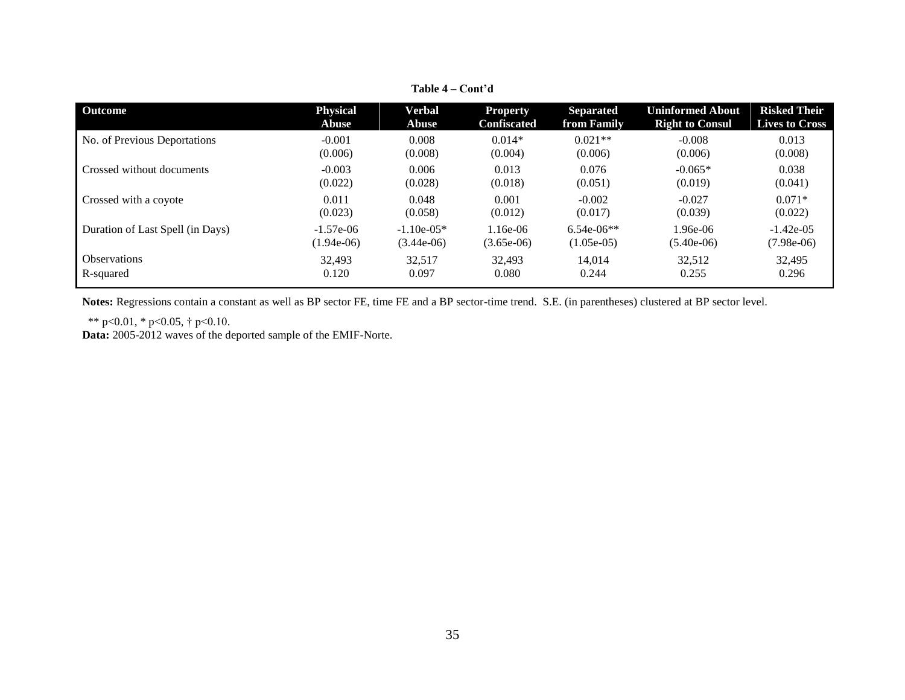| <b>Outcome</b>                   | <b>Physical</b> | Verbal        | <b>Property</b>    | <b>Separated</b> | <b>Uninformed About</b> | <b>Risked Their</b>   |
|----------------------------------|-----------------|---------------|--------------------|------------------|-------------------------|-----------------------|
|                                  | <b>Abuse</b>    | Abuse         | <b>Confiscated</b> | from Family      | <b>Right to Consul</b>  | <b>Lives to Cross</b> |
| No. of Previous Deportations     | $-0.001$        | 0.008         | $0.014*$           | $0.021**$        | $-0.008$                | 0.013                 |
|                                  | (0.006)         | (0.008)       | (0.004)            | (0.006)          | (0.006)                 | (0.008)               |
| Crossed without documents        | $-0.003$        | 0.006         | 0.013              | 0.076            | $-0.065*$               | 0.038                 |
|                                  | (0.022)         | (0.028)       | (0.018)            | (0.051)          | (0.019)                 | (0.041)               |
| Crossed with a coyote            | 0.011           | 0.048         | 0.001              | $-0.002$         | $-0.027$                | $0.071*$              |
|                                  | (0.023)         | (0.058)       | (0.012)            | (0.017)          | (0.039)                 | (0.022)               |
| Duration of Last Spell (in Days) | $-1.57e-06$     | $-1.10e-0.5*$ | 1.16e-06           | $6.54e-06**$     | $1.96e-06$              | $-1.42e-05$           |
|                                  | $(1.94e-06)$    | $(3.44e-06)$  | $(3.65e-06)$       | $(1.05e-0.5)$    | $(5.40e-06)$            | $(7.98e-06)$          |
| <b>Observations</b>              | 32,493          | 32,517        | 32.493             | 14.014           | 32,512                  | 32,495                |
| R-squared                        | 0.120           | 0.097         | 0.080              | 0.244            | 0.255                   | 0.296                 |

**Table 4 – Cont'd**

**Notes:** Regressions contain a constant as well as BP sector FE, time FE and a BP sector-time trend. S.E. (in parentheses) clustered at BP sector level.

\*\* p<0.01, \* p<0.05, † p<0.10.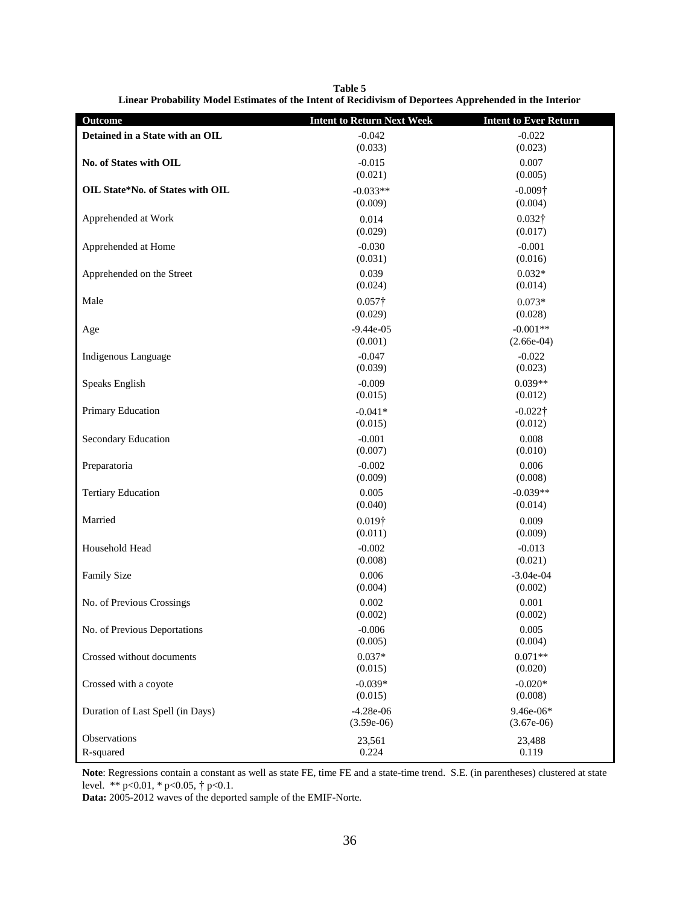**Table 5 Linear Probability Model Estimates of the Intent of Recidivism of Deportees Apprehended in the Interior**

| <b>Outcome</b>                   | <b>Intent to Return Next Week</b> | <b>Intent to Ever Return</b> |
|----------------------------------|-----------------------------------|------------------------------|
| Detained in a State with an OIL  | $-0.042$                          | $-0.022$                     |
|                                  | (0.033)                           | (0.023)                      |
| No. of States with OIL           | $-0.015$                          | 0.007                        |
|                                  | (0.021)                           | (0.005)                      |
| OIL State*No. of States with OIL | $-0.033**$                        | $-0.009\dagger$              |
|                                  | (0.009)                           | (0.004)                      |
| Apprehended at Work              | 0.014                             | $0.032\dagger$               |
|                                  | (0.029)                           | (0.017)                      |
| Apprehended at Home              | $-0.030$                          | $-0.001$                     |
|                                  | (0.031)                           | (0.016)                      |
| Apprehended on the Street        | 0.039                             | $0.032*$                     |
|                                  | (0.024)                           | (0.014)                      |
| Male                             | $0.057\dagger$                    | $0.073*$                     |
|                                  | (0.029)                           | (0.028)                      |
| Age                              | $-9.44e-05$                       | $-0.001**$                   |
|                                  | (0.001)                           | $(2.66e-04)$                 |
| Indigenous Language              | $-0.047$                          | $-0.022$                     |
|                                  | (0.039)                           | (0.023)                      |
| Speaks English                   | $-0.009$                          | $0.039**$                    |
|                                  | (0.015)                           | (0.012)                      |
| Primary Education                | $-0.041*$                         | $-0.022\dagger$              |
|                                  | (0.015)                           | (0.012)                      |
| Secondary Education              | $-0.001$                          | 0.008                        |
|                                  | (0.007)                           | (0.010)                      |
| Preparatoria                     | $-0.002$                          | 0.006                        |
|                                  | (0.009)                           | (0.008)                      |
| <b>Tertiary Education</b>        | 0.005                             | $-0.039**$                   |
|                                  | (0.040)                           | (0.014)                      |
| Married                          | $0.019\dagger$                    | 0.009                        |
|                                  | (0.011)                           | (0.009)                      |
| Household Head                   | $-0.002$                          | $-0.013$                     |
|                                  | (0.008)                           | (0.021)                      |
| Family Size                      | 0.006                             | $-3.04e-04$                  |
|                                  | (0.004)                           | (0.002)                      |
| No. of Previous Crossings        | 0.002                             | 0.001                        |
|                                  | (0.002)                           | (0.002)                      |
| No. of Previous Deportations     | $-0.006$                          | 0.005                        |
|                                  | (0.005)                           | (0.004)                      |
| Crossed without documents        | $0.037*$                          | $0.071**$                    |
|                                  | (0.015)                           | (0.020)                      |
| Crossed with a coyote            | $-0.039*$                         | $-0.020*$                    |
|                                  | (0.015)                           | (0.008)                      |
| Duration of Last Spell (in Days) | $-4.28e-06$                       | 9.46e-06*                    |
|                                  | $(3.59e-06)$                      | $(3.67e-06)$                 |
| Observations                     | 23,561                            | 23,488                       |
| R-squared                        | 0.224                             | 0.119                        |

**Note**: Regressions contain a constant as well as state FE, time FE and a state-time trend. S.E. (in parentheses) clustered at state level. \*\* p<0.01, \* p<0.05, † p<0.1.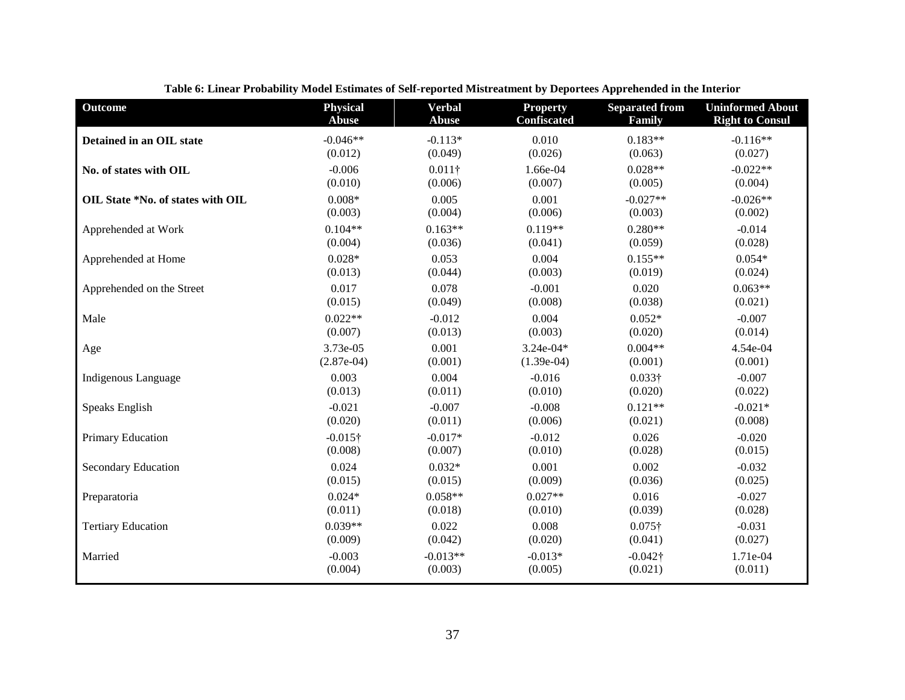| <b>Outcome</b>                    | <b>Physical</b> | <b>Verbal</b>  | <b>Property</b>    | <b>Separated from</b> | <b>Uninformed About</b> |
|-----------------------------------|-----------------|----------------|--------------------|-----------------------|-------------------------|
|                                   | <b>Abuse</b>    | <b>Abuse</b>   | <b>Confiscated</b> | Family                | <b>Right to Consul</b>  |
| Detained in an OIL state          | $-0.046**$      | $-0.113*$      | 0.010              | $0.183**$             | $-0.116**$              |
|                                   | (0.012)         | (0.049)        | (0.026)            | (0.063)               | (0.027)                 |
| No. of states with OIL            | $-0.006$        | $0.011\dagger$ | 1.66e-04           | $0.028**$             | $-0.022**$              |
|                                   | (0.010)         | (0.006)        | (0.007)            | (0.005)               | (0.004)                 |
| OIL State *No. of states with OIL | $0.008*$        | 0.005          | 0.001              | $-0.027**$            | $-0.026**$              |
|                                   | (0.003)         | (0.004)        | (0.006)            | (0.003)               | (0.002)                 |
| Apprehended at Work               | $0.104**$       | $0.163**$      | $0.119**$          | $0.280**$             | $-0.014$                |
|                                   | (0.004)         | (0.036)        | (0.041)            | (0.059)               | (0.028)                 |
| Apprehended at Home               | $0.028*$        | 0.053          | 0.004              | $0.155**$             | $0.054*$                |
|                                   | (0.013)         | (0.044)        | (0.003)            | (0.019)               | (0.024)                 |
| Apprehended on the Street         | 0.017           | 0.078          | $-0.001$           | 0.020                 | $0.063**$               |
|                                   | (0.015)         | (0.049)        | (0.008)            | (0.038)               | (0.021)                 |
| Male                              | $0.022**$       | $-0.012$       | 0.004              | $0.052*$              | $-0.007$                |
|                                   | (0.007)         | (0.013)        | (0.003)            | (0.020)               | (0.014)                 |
| Age                               | 3.73e-05        | 0.001          | $3.24e-04*$        | $0.004**$             | 4.54e-04                |
|                                   | $(2.87e-04)$    | (0.001)        | $(1.39e-04)$       | (0.001)               | (0.001)                 |
| Indigenous Language               | 0.003           | 0.004          | $-0.016$           | $0.033\dagger$        | $-0.007$                |
|                                   | (0.013)         | (0.011)        | (0.010)            | (0.020)               | (0.022)                 |
| Speaks English                    | $-0.021$        | $-0.007$       | $-0.008$           | $0.121**$             | $-0.021*$               |
|                                   | (0.020)         | (0.011)        | (0.006)            | (0.021)               | (0.008)                 |
| Primary Education                 | $-0.015\dagger$ | $-0.017*$      | $-0.012$           | 0.026                 | $-0.020$                |
|                                   | (0.008)         | (0.007)        | (0.010)            | (0.028)               | (0.015)                 |
| <b>Secondary Education</b>        | 0.024           | $0.032*$       | 0.001              | 0.002                 | $-0.032$                |
|                                   | (0.015)         | (0.015)        | (0.009)            | (0.036)               | (0.025)                 |
| Preparatoria                      | $0.024*$        | $0.058**$      | $0.027**$          | 0.016                 | $-0.027$                |
|                                   | (0.011)         | (0.018)        | (0.010)            | (0.039)               | (0.028)                 |
| <b>Tertiary Education</b>         | $0.039**$       | 0.022          | 0.008              | $0.075\dagger$        | $-0.031$                |
|                                   | (0.009)         | (0.042)        | (0.020)            | (0.041)               | (0.027)                 |
| Married                           | $-0.003$        | $-0.013**$     | $-0.013*$          | $-0.042\dagger$       | 1.71e-04                |
|                                   | (0.004)         | (0.003)        | (0.005)            | (0.021)               | (0.011)                 |

**Table 6: Linear Probability Model Estimates of Self-reported Mistreatment by Deportees Apprehended in the Interior**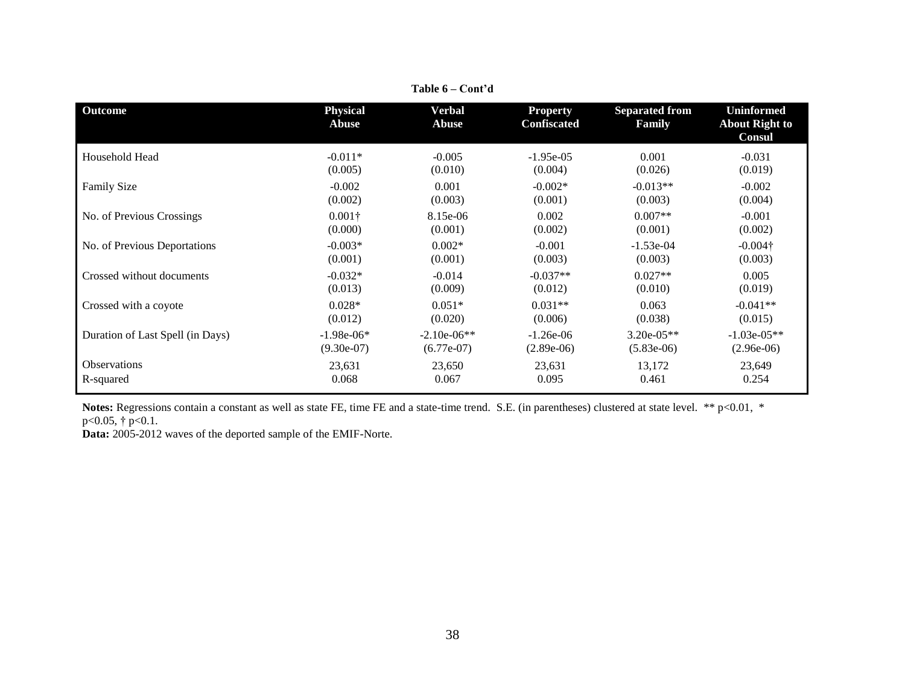| <b>Outcome</b>                   | <b>Physical</b><br><b>Abuse</b> | Verbal<br><b>Abuse</b> | <b>Property</b><br><b>Confiscated</b> | <b>Separated from</b><br>Family | <b>Uninformed</b><br><b>About Right to</b><br><b>Consul</b> |
|----------------------------------|---------------------------------|------------------------|---------------------------------------|---------------------------------|-------------------------------------------------------------|
| Household Head                   | $-0.011*$                       | $-0.005$               | $-1.95e-05$                           | 0.001                           | $-0.031$                                                    |
|                                  | (0.005)                         | (0.010)                | (0.004)                               | (0.026)                         | (0.019)                                                     |
| <b>Family Size</b>               | $-0.002$                        | 0.001                  | $-0.002*$                             | $-0.013**$                      | $-0.002$                                                    |
|                                  | (0.002)                         | (0.003)                | (0.001)                               | (0.003)                         | (0.004)                                                     |
| No. of Previous Crossings        | $0.001\dagger$                  | 8.15e-06               | 0.002                                 | $0.007**$                       | $-0.001$                                                    |
|                                  | (0.000)                         | (0.001)                | (0.002)                               | (0.001)                         | (0.002)                                                     |
| No. of Previous Deportations     | $-0.003*$                       | $0.002*$               | $-0.001$                              | $-1.53e-04$                     | $-0.004\dagger$                                             |
|                                  | (0.001)                         | (0.001)                | (0.003)                               | (0.003)                         | (0.003)                                                     |
| Crossed without documents        | $-0.032*$                       | $-0.014$               | $-0.037**$                            | $0.027**$                       | 0.005                                                       |
|                                  | (0.013)                         | (0.009)                | (0.012)                               | (0.010)                         | (0.019)                                                     |
| Crossed with a coyote            | $0.028*$                        | $0.051*$               | $0.031**$                             | 0.063                           | $-0.041**$                                                  |
|                                  | (0.012)                         | (0.020)                | (0.006)                               | (0.038)                         | (0.015)                                                     |
| Duration of Last Spell (in Days) | $-1.98e-06*$                    | $-2.10e-06**$          | $-1.26e-06$                           | $3.20e-05**$                    | $-1.03e-05**$                                               |
|                                  | $(9.30e-07)$                    | $(6.77e-07)$           | $(2.89e-06)$                          | $(5.83e-06)$                    | $(2.96e-06)$                                                |
| <b>Observations</b>              | 23,631                          | 23,650                 | 23,631                                | 13,172                          | 23,649                                                      |
| R-squared                        | 0.068                           | 0.067                  | 0.095                                 | 0.461                           | 0.254                                                       |

**Table 6 – Cont'd**

Notes: Regressions contain a constant as well as state FE, time FE and a state-time trend. S.E. (in parentheses) clustered at state level. \*\* p<0.01, \*  $p<0.05$ , †  $p<0.1$ .